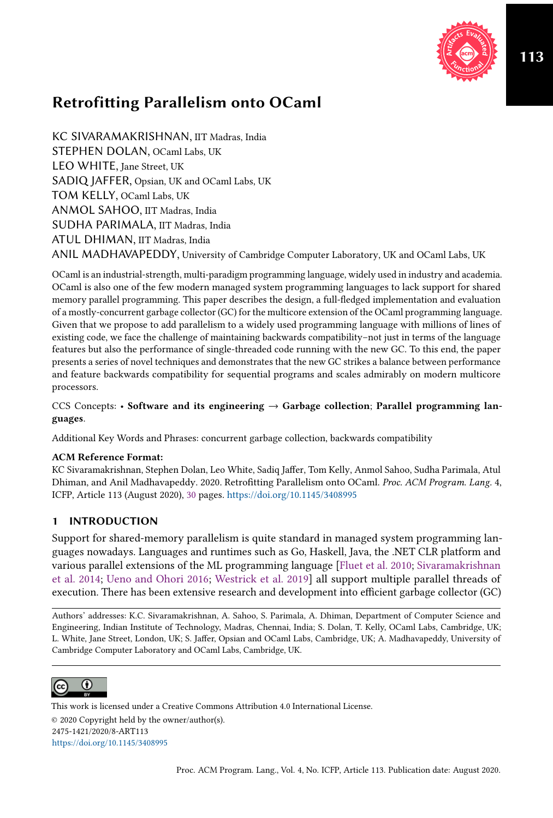

KC SIVARAMAKRISHNAN, IIT Madras, India STEPHEN DOLAN, OCaml Labs, UK LEO WHITE, Jane Street, UK SADIQ JAFFER, Opsian, UK and OCaml Labs, UK TOM KELLY, OCaml Labs, UK ANMOL SAHOO, IIT Madras, India SUDHA PARIMALA, IIT Madras, India ATUL DHIMAN, IIT Madras, India ANIL MADHAVAPEDDY, University of Cambridge Computer Laboratory, UK and OCaml Labs, UK

OCaml is an industrial-strength, multi-paradigm programming language, widely used in industry and academia. OCaml is also one of the few modern managed system programming languages to lack support for shared memory parallel programming. This paper describes the design, a full-fledged implementation and evaluation of a mostly-concurrent garbage collector (GC) for the multicore extension of the OCaml programming language. Given that we propose to add parallelism to a widely used programming language with millions of lines of existing code, we face the challenge of maintaining backwards compatibility-not just in terms of the language features but also the performance of single-threaded code running with the new GC. To this end, the paper presents a series of novel techniques and demonstrates that the new GC strikes a balance between performance and feature backwards compatibility for sequential programs and scales admirably on modern multicore processors.

CCS Concepts: • Software and its engineering  $\rightarrow$  Garbage collection; Parallel programming languages.

Additional Key Words and Phrases: concurrent garbage collection, backwards compatibility

### ACM Reference Format:

KC Sivaramakrishnan, Stephen Dolan, Leo White, Sadiq Jaffer, Tom Kelly, Anmol Sahoo, Sudha Parimala, Atul Dhiman, and Anil Madhavapeddy. 2020. Retrofitting Parallelism onto OCaml. Proc. ACM Program. Lang. 4, ICFP, Article 113 (August 2020), 30 pages. https://doi.org/10.1145/3408995

# 1 INTRODUCTION

Support for shared-memory parallelism is quite standard in managed system programming languages nowadays. Languages and runtimes such as Go, Haskell, Java, the .NET CLR platform and various parallel extensions of the ML programming language [Fluet et al. 2010; Sivaramakrishnan et al. 2014; Ueno and Ohori 2016; Westrick et al. 2019] all support multiple parallel threads of execution. There has been extensive research and development into efficient garbage collector (GC)

Authors' addresses: K.C. Sivaramakrishnan, A. Sahoo, S. Parimala, A. Dhiman, Department of Computer Science and Engineering, Indian Institute of Technology, Madras, Chennai, India; S. Dolan, T. Kelly, OCaml Labs, Cambridge, UK; L. White, Jane Street, London, UK; S. Jaffer, Opsian and OCaml Labs, Cambridge, UK; A. Madhavapeddy, University of Cambridge Computer Laboratory and OCaml Labs, Cambridge, UK.



This work is licensed under a Creative Commons Attribution 4.0 International License. © 2020 Copyright held by the owner/author(s). 2475-1421/2020/8-ART113 https://doi.org/10.1145/3408995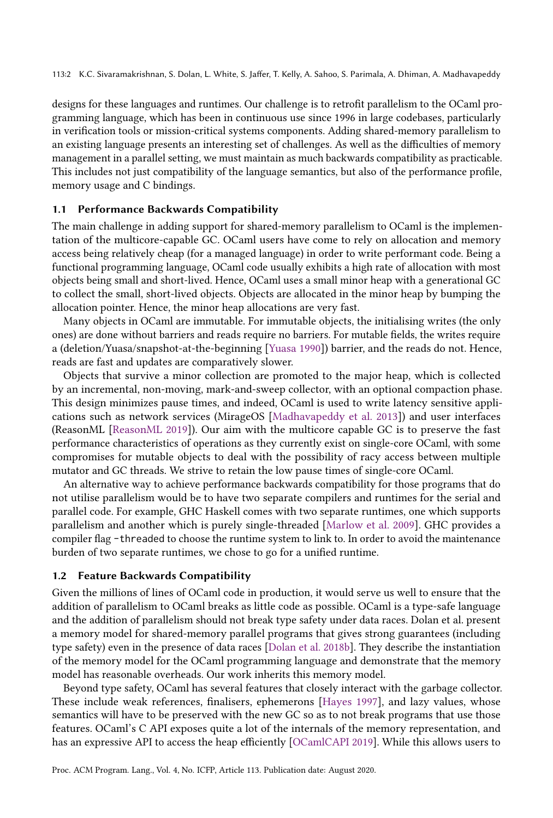designs for these languages and runtimes. Our challenge is to retrofit parallelism to the OCaml programming language, which has been in continuous use since 1996 in large codebases, particularly in verification tools or mission-critical systems components. Adding shared-memory parallelism to an existing language presents an interesting set of challenges. As well as the difficulties of memory management in a parallel setting, we must maintain as much backwards compatibility as practicable. This includes not just compatibility of the language semantics, but also of the performance profile, memory usage and C bindings.

### Performance Backwards Compatibility

The main challenge in adding support for shared-memory parallelism to OCaml is the implementation of the multicore-capable GC. OCaml users have come to rely on allocation and memory access being relatively cheap (for a managed language) in order to write performant code. Being a functional programming language, OCaml code usually exhibits a high rate of allocation with most objects being small and short-lived. Hence, OCaml uses a small minor heap with a generational GC to collect the small, short-lived objects. Objects are allocated in the minor heap by bumping the allocation pointer. Hence, the minor heap allocations are very fast.

Many objects in OCaml are immutable. For immutable objects, the initialising writes (the only ones) are done without barriers and reads require no barriers. For mutable fields, the writes require a (deletion/Yuasa/snapshot-at-the-beginning [Yuasa 1990]) barrier, and the reads do not. Hence, reads are fast and updates are comparatively slower.

Objects that survive a minor collection are promoted to the major heap, which is collected by an incremental, non-moving, mark-and-sweep collector, with an optional compaction phase. This design minimizes pause times, and indeed, OCaml is used to write latency sensitive applications such as network services (MirageOS [Madhavapeddy et al. 2013]) and user interfaces (ReasonML [ReasonML 2019]). Our aim with the multicore capable GC is to preserve the fast performance characteristics of operations as they currently exist on single-core OCaml, with some compromises for mutable objects to deal with the possibility of racy access between multiple mutator and GC threads. We strive to retain the low pause times of single-core OCaml.

An alternative way to achieve performance backwards compatibility for those programs that do not utilise parallelism would be to have two separate compilers and runtimes for the serial and parallel code. For example, GHC Haskell comes with two separate runtimes, one which supports parallelism and another which is purely single-threaded [Marlow et al. 2009]. GHC provides a compiler flag -threaded to choose the runtime system to link to. In order to avoid the maintenance burden of two separate runtimes, we chose to go for a unified runtime.

#### 1.2 Feature Backwards Compatibility

Given the millions of lines of OCaml code in production, it would serve us well to ensure that the addition of parallelism to OCaml breaks as little code as possible. OCaml is a type-safe language and the addition of parallelism should not break type safety under data races. Dolan et al. present a memory model for shared-memory parallel programs that gives strong guarantees (including type safety) even in the presence of data races [Dolan et al. 2018b]. They describe the instantiation of the memory model for the OCaml programming language and demonstrate that the memory model has reasonable overheads. Our work inherits this memory model.

Beyond type safety, OCaml has several features that closely interact with the garbage collector. These include weak references, finalisers, ephemerons [Hayes 1997], and lazy values, whose semantics will have to be preserved with the new GC so as to not break programs that use those features. OCaml's C API exposes quite a lot of the internals of the memory representation, and has an expressive API to access the heap efficiently [OCamlCAPI 2019]. While this allows users to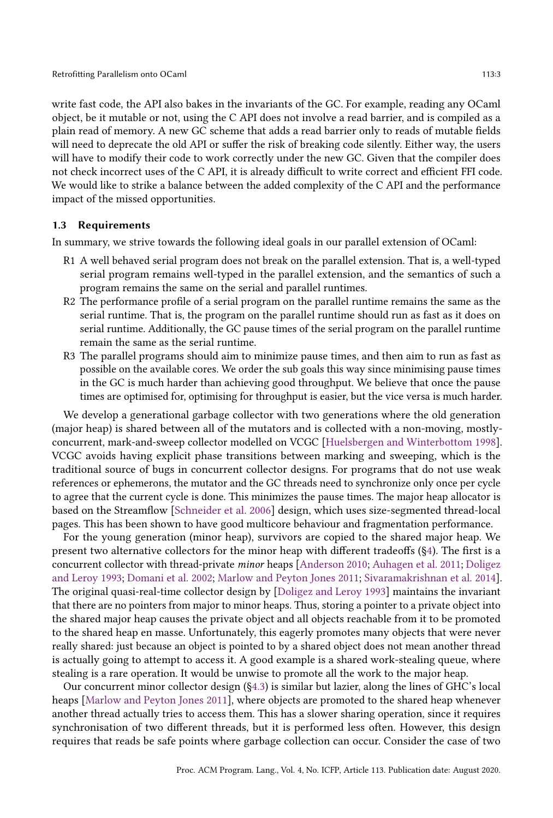write fast code, the API also bakes in the invariants of the GC. For example, reading any OCaml object, be it mutable or not, using the C API does not involve a read barrier, and is compiled as a plain read of memory. A new GC scheme that adds a read barrier only to reads of mutable fields will need to deprecate the old API or suffer the risk of breaking code silently. Either way, the users will have to modify their code to work correctly under the new GC. Given that the compiler does not check incorrect uses of the C API, it is already difficult to write correct and efficient FFI code. We would like to strike a balance between the added complexity of the C API and the performance impact of the missed opportunities.

### 1.3 Requirements

In summary, we strive towards the following ideal goals in our parallel extension of OCaml:

- R1 A well behaved serial program does not break on the parallel extension. That is, a well-typed serial program remains well-typed in the parallel extension, and the semantics of such a program remains the same on the serial and parallel runtimes.
- R2 The performance profile of a serial program on the parallel runtime remains the same as the serial runtime. That is, the program on the parallel runtime should run as fast as it does on serial runtime. Additionally, the GC pause times of the serial program on the parallel runtime remain the same as the serial runtime.
- R3 The parallel programs should aim to minimize pause times, and then aim to run as fast as possible on the available cores. We order the sub goals this way since minimising pause times in the GC is much harder than achieving good throughput. We believe that once the pause times are optimised for, optimising for throughput is easier, but the vice versa is much harder.

We develop a generational garbage collector with two generations where the old generation (major heap) is shared between all of the mutators and is collected with a non-moving, mostlyconcurrent, mark-and-sweep collector modelled on VCGC [Huelsbergen and Winterbottom 1998]. VCGC avoids having explicit phase transitions between marking and sweeping, which is the traditional source of bugs in concurrent collector designs. For programs that do not use weak references or ephemerons, the mutator and the GC threads need to synchronize only once per cycle to agree that the current cycle is done. This minimizes the pause times. The major heap allocator is based on the Streamflow [Schneider et al. 2006] design, which uses size-segmented thread-local pages. This has been shown to have good multicore behaviour and fragmentation performance.

For the young generation (minor heap), survivors are copied to the shared major heap. We present two alternative collectors for the minor heap with different tradeoffs (ğ4). The first is a concurrent collector with thread-private minor heaps [Anderson 2010; Auhagen et al. 2011; Doligez and Leroy 1993; Domani et al. 2002; Marlow and Peyton Jones 2011; Sivaramakrishnan et al. 2014]. The original quasi-real-time collector design by [Doligez and Leroy 1993] maintains the invariant that there are no pointers from major to minor heaps. Thus, storing a pointer to a private object into the shared major heap causes the private object and all objects reachable from it to be promoted to the shared heap en masse. Unfortunately, this eagerly promotes many objects that were never really shared: just because an object is pointed to by a shared object does not mean another thread is actually going to attempt to access it. A good example is a shared work-stealing queue, where stealing is a rare operation. It would be unwise to promote all the work to the major heap.

Our concurrent minor collector design (ğ4.3) is similar but lazier, along the lines of GHC's local heaps [Marlow and Peyton Jones 2011], where objects are promoted to the shared heap whenever another thread actually tries to access them. This has a slower sharing operation, since it requires synchronisation of two different threads, but it is performed less often. However, this design requires that reads be safe points where garbage collection can occur. Consider the case of two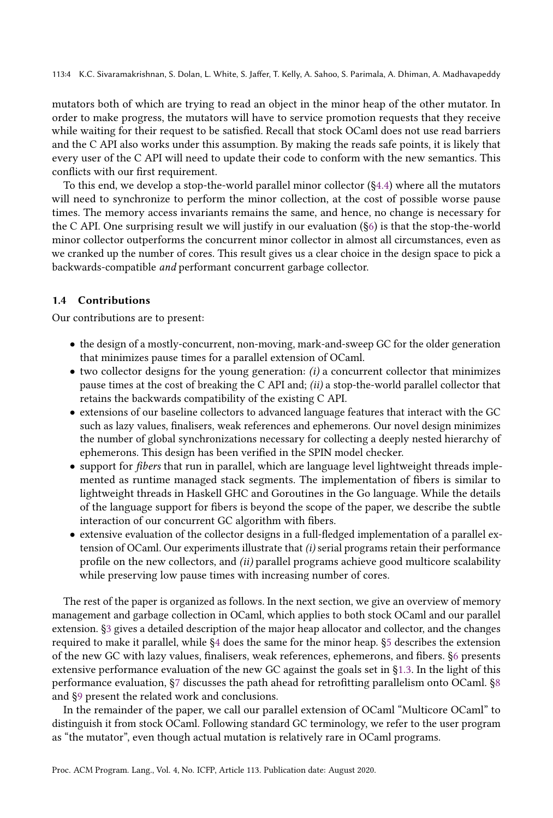113:4 K.C. Sivaramakrishnan, S. Dolan, L. White, S. Jaffer, T. Kelly, A. Sahoo, S. Parimala, A. Dhiman, A. Madhavapeddy

mutators both of which are trying to read an object in the minor heap of the other mutator. In order to make progress, the mutators will have to service promotion requests that they receive while waiting for their request to be satisfied. Recall that stock OCaml does not use read barriers and the C API also works under this assumption. By making the reads safe points, it is likely that every user of the C API will need to update their code to conform with the new semantics. This conflicts with our first requirement.

To this end, we develop a stop-the-world parallel minor collector  $(\S 4.4)$  where all the mutators will need to synchronize to perform the minor collection, at the cost of possible worse pause times. The memory access invariants remains the same, and hence, no change is necessary for the C API. One surprising result we will justify in our evaluation (ğ6) is that the stop-the-world minor collector outperforms the concurrent minor collector in almost all circumstances, even as we cranked up the number of cores. This result gives us a clear choice in the design space to pick a backwards-compatible and performant concurrent garbage collector.

### 1.4 Contributions

Our contributions are to present:

- the design of a mostly-concurrent, non-moving, mark-and-sweep GC for the older generation that minimizes pause times for a parallel extension of OCaml.
- $\bullet$  two collector designs for the young generation: (i) a concurrent collector that minimizes pause times at the cost of breaking the C API and; (ii) a stop-the-world parallel collector that retains the backwards compatibility of the existing C API.
- extensions of our baseline collectors to advanced language features that interact with the GC such as lazy values, finalisers, weak references and ephemerons. Our novel design minimizes the number of global synchronizations necessary for collecting a deeply nested hierarchy of ephemerons. This design has been verified in the SPIN model checker.
- support for fibers that run in parallel, which are language level lightweight threads implemented as runtime managed stack segments. The implementation of fibers is similar to lightweight threads in Haskell GHC and Goroutines in the Go language. While the details of the language support for fibers is beyond the scope of the paper, we describe the subtle interaction of our concurrent GC algorithm with fibers.
- extensive evaluation of the collector designs in a full-fledged implementation of a parallel extension of OCaml. Our experiments illustrate that (i) serial programs retain their performance profile on the new collectors, and (ii) parallel programs achieve good multicore scalability while preserving low pause times with increasing number of cores.

The rest of the paper is organized as follows. In the next section, we give an overview of memory management and garbage collection in OCaml, which applies to both stock OCaml and our parallel extension. ğ3 gives a detailed description of the major heap allocator and collector, and the changes required to make it parallel, while ğ4 does the same for the minor heap. ğ5 describes the extension of the new GC with lazy values, finalisers, weak references, ephemerons, and fibers. ğ6 presents extensive performance evaluation of the new GC against the goals set in ğ1.3. In the light of this performance evaluation, ğ7 discusses the path ahead for retrofitting parallelism onto OCaml. ğ8 and ğ9 present the related work and conclusions.

In the remainder of the paper, we call our parallel extension of OCaml "Multicore OCaml" to distinguish it from stock OCaml. Following standard GC terminology, we refer to the user program as "the mutator", even though actual mutation is relatively rare in OCaml programs.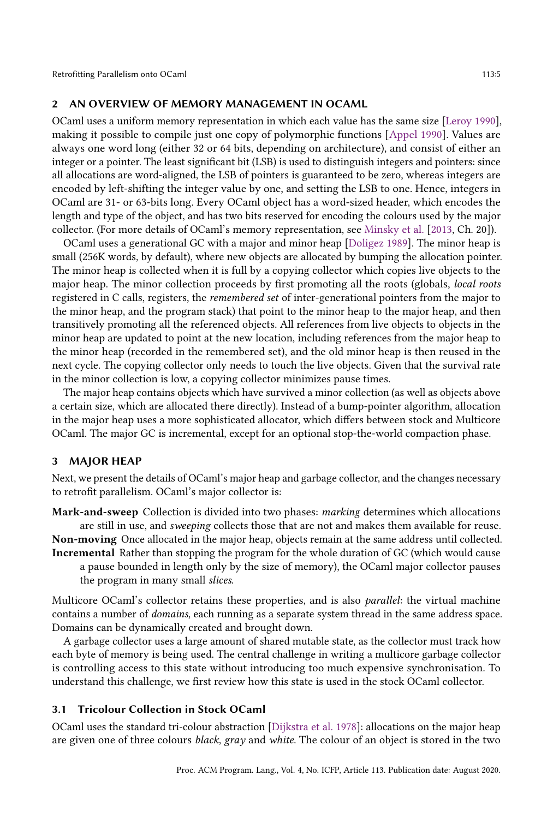### 2 AN OVERVIEW OF MEMORY MANAGEMENT IN OCAML

OCaml uses a uniform memory representation in which each value has the same size [Leroy 1990], making it possible to compile just one copy of polymorphic functions [Appel 1990]. Values are always one word long (either 32 or 64 bits, depending on architecture), and consist of either an integer or a pointer. The least significant bit (LSB) is used to distinguish integers and pointers: since all allocations are word-aligned, the LSB of pointers is guaranteed to be zero, whereas integers are encoded by left-shifting the integer value by one, and setting the LSB to one. Hence, integers in OCaml are 31- or 63-bits long. Every OCaml object has a word-sized header, which encodes the length and type of the object, and has two bits reserved for encoding the colours used by the major collector. (For more details of OCaml's memory representation, see Minsky et al. [2013, Ch. 20]).

OCaml uses a generational GC with a major and minor heap [Doligez 1989]. The minor heap is small (256K words, by default), where new objects are allocated by bumping the allocation pointer. The minor heap is collected when it is full by a copying collector which copies live objects to the major heap. The minor collection proceeds by first promoting all the roots (globals, local roots registered in C calls, registers, the remembered set of inter-generational pointers from the major to the minor heap, and the program stack) that point to the minor heap to the major heap, and then transitively promoting all the referenced objects. All references from live objects to objects in the minor heap are updated to point at the new location, including references from the major heap to the minor heap (recorded in the remembered set), and the old minor heap is then reused in the next cycle. The copying collector only needs to touch the live objects. Given that the survival rate in the minor collection is low, a copying collector minimizes pause times.

The major heap contains objects which have survived a minor collection (as well as objects above a certain size, which are allocated there directly). Instead of a bump-pointer algorithm, allocation in the major heap uses a more sophisticated allocator, which differs between stock and Multicore OCaml. The major GC is incremental, except for an optional stop-the-world compaction phase.

### 3 MAJOR HEAP

Next, we present the details of OCaml's major heap and garbage collector, and the changes necessary to retrofit parallelism. OCaml's major collector is:

Mark-and-sweep Collection is divided into two phases: marking determines which allocations are still in use, and sweeping collects those that are not and makes them available for reuse. Non-moving Once allocated in the major heap, objects remain at the same address until collected.

Incremental Rather than stopping the program for the whole duration of GC (which would cause a pause bounded in length only by the size of memory), the OCaml major collector pauses the program in many small slices.

Multicore OCaml's collector retains these properties, and is also *parallel*: the virtual machine contains a number of domains, each running as a separate system thread in the same address space. Domains can be dynamically created and brought down.

A garbage collector uses a large amount of shared mutable state, as the collector must track how each byte of memory is being used. The central challenge in writing a multicore garbage collector is controlling access to this state without introducing too much expensive synchronisation. To understand this challenge, we first review how this state is used in the stock OCaml collector.

### 3.1 Tricolour Collection in Stock OCaml

OCaml uses the standard tri-colour abstraction [Dijkstra et al. 1978]: allocations on the major heap are given one of three colours black, gray and white. The colour of an object is stored in the two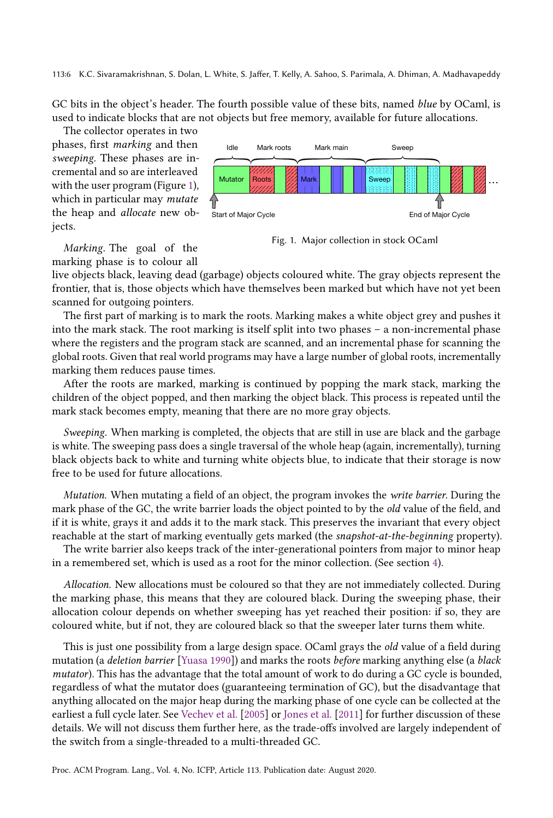113:6 K.C. Sivaramakrishnan, S. Dolan, L. White, S. Jaffer, T. Kelly, A. Sahoo, S. Parimala, A. Dhiman, A. Madhavapeddy

GC bits in the object's header. The fourth possible value of these bits, named blue by OCaml, is used to indicate blocks that are not objects but free memory, available for future allocations.

The collector operates in two phases, first marking and then sweeping. These phases are incremental and so are interleaved with the user program (Figure 1), which in particular may mutate the heap and allocate new ob-



Marking. The goal of the marking phase is to colour all

jects.

Fig. 1. Major collection in stock OCaml

live objects black, leaving dead (garbage) objects coloured white. The gray objects represent the frontier, that is, those objects which have themselves been marked but which have not yet been scanned for outgoing pointers.

The first part of marking is to mark the roots. Marking makes a white object grey and pushes it into the mark stack. The root marking is itself split into two phases  $-$  a non-incremental phase where the registers and the program stack are scanned, and an incremental phase for scanning the global roots. Given that real world programs may have a large number of global roots, incrementally marking them reduces pause times.

After the roots are marked, marking is continued by popping the mark stack, marking the children of the object popped, and then marking the object black. This process is repeated until the mark stack becomes empty, meaning that there are no more gray objects.

Sweeping. When marking is completed, the objects that are still in use are black and the garbage is white. The sweeping pass does a single traversal of the whole heap (again, incrementally), turning black objects back to white and turning white objects blue, to indicate that their storage is now free to be used for future allocations.

Mutation. When mutating a field of an object, the program invokes the *write barrier*. During the mark phase of the GC, the write barrier loads the object pointed to by the *old* value of the field, and if it is white, grays it and adds it to the mark stack. This preserves the invariant that every object reachable at the start of marking eventually gets marked (the snapshot-at-the-beginning property).

The write barrier also keeps track of the inter-generational pointers from major to minor heap in a remembered set, which is used as a root for the minor collection. (See section 4).

Allocation. New allocations must be coloured so that they are not immediately collected. During the marking phase, this means that they are coloured black. During the sweeping phase, their allocation colour depends on whether sweeping has yet reached their position: if so, they are coloured white, but if not, they are coloured black so that the sweeper later turns them white.

This is just one possibility from a large design space. OCaml grays the *old* value of a field during mutation (a deletion barrier [Yuasa 1990]) and marks the roots before marking anything else (a black mutator). This has the advantage that the total amount of work to do during a GC cycle is bounded, regardless of what the mutator does (guaranteeing termination of GC), but the disadvantage that anything allocated on the major heap during the marking phase of one cycle can be collected at the earliest a full cycle later. See Vechev et al. [2005] or Jones et al. [2011] for further discussion of these details. We will not discuss them further here, as the trade-offs involved are largely independent of the switch from a single-threaded to a multi-threaded GC.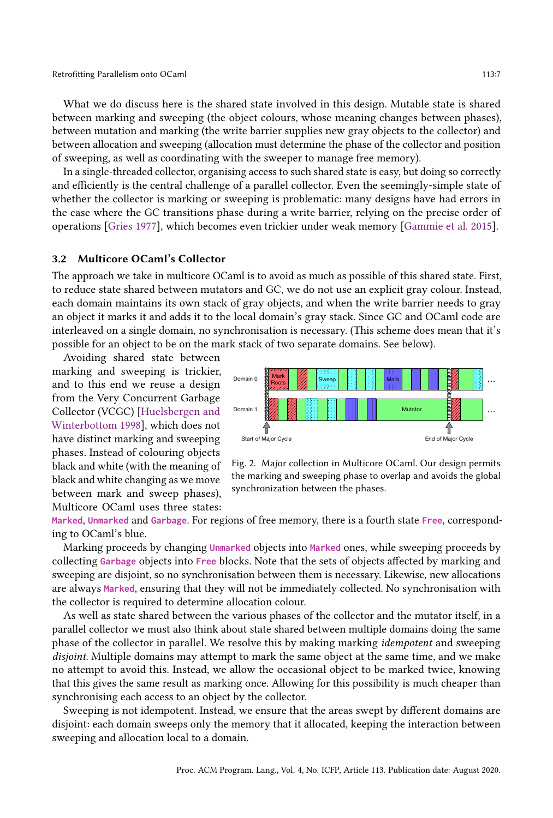What we do discuss here is the shared state involved in this design. Mutable state is shared between marking and sweeping (the object colours, whose meaning changes between phases), between mutation and marking (the write barrier supplies new gray objects to the collector) and between allocation and sweeping (allocation must determine the phase of the collector and position of sweeping, as well as coordinating with the sweeper to manage free memory).

In a single-threaded collector, organising access to such shared state is easy, but doing so correctly and efficiently is the central challenge of a parallel collector. Even the seemingly-simple state of whether the collector is marking or sweeping is problematic: many designs have had errors in the case where the GC transitions phase during a write barrier, relying on the precise order of operations [Gries 1977], which becomes even trickier under weak memory [Gammie et al. 2015].

### 3.2 Multicore OCaml's Collector

The approach we take in multicore OCaml is to avoid as much as possible of this shared state. First, to reduce state shared between mutators and GC, we do not use an explicit gray colour. Instead, each domain maintains its own stack of gray objects, and when the write barrier needs to gray an object it marks it and adds it to the local domain's gray stack. Since GC and OCaml code are interleaved on a single domain, no synchronisation is necessary. (This scheme does mean that it's possible for an object to be on the mark stack of two separate domains. See below).

Avoiding shared state between marking and sweeping is trickier, and to this end we reuse a design from the Very Concurrent Garbage Collector (VCGC) [Huelsbergen and Winterbottom 1998], which does not have distinct marking and sweeping phases. Instead of colouring objects black and white (with the meaning of black and white changing as we move between mark and sweep phases), Multicore OCaml uses three states:



Fig. 2. Major collection in Multicore OCaml. Our design permits the marking and sweeping phase to overlap and avoids the global synchronization between the phases.

**Marked**, **Unmarked** and **Garbage**. For regions of free memory, there is a fourth state **Free**, corresponding to OCaml's blue.

Marking proceeds by changing **Unmarked** objects into **Marked** ones, while sweeping proceeds by collecting **Garbage** objects into **Free** blocks. Note that the sets of objects affected by marking and sweeping are disjoint, so no synchronisation between them is necessary. Likewise, new allocations are always **Marked**, ensuring that they will not be immediately collected. No synchronisation with the collector is required to determine allocation colour.

As well as state shared between the various phases of the collector and the mutator itself, in a parallel collector we must also think about state shared between multiple domains doing the same phase of the collector in parallel. We resolve this by making marking idempotent and sweeping disjoint. Multiple domains may attempt to mark the same object at the same time, and we make no attempt to avoid this. Instead, we allow the occasional object to be marked twice, knowing that this gives the same result as marking once. Allowing for this possibility is much cheaper than synchronising each access to an object by the collector.

Sweeping is not idempotent. Instead, we ensure that the areas swept by different domains are disjoint: each domain sweeps only the memory that it allocated, keeping the interaction between sweeping and allocation local to a domain.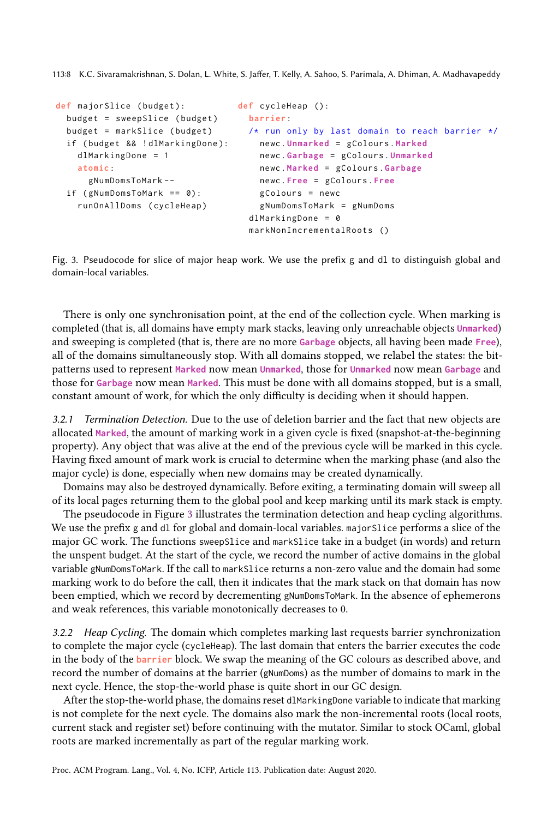113:8 K.C. Sivaramakrishnan, S. Dolan, L. White, S. Jaffer, T. Kelly, A. Sahoo, S. Parimala, A. Dhiman, A. Madhavapeddy

```
def majorSlice ( budget ):
  budget = sweepSlice ( budget )
  budget = markSlice ( budget )
  if ( budget && ! dlMarkingDone ):
   dlMarkingDone = 1
    atomic :
      gNumDomsToMark --
  if (gNumDomsToMark == 0):runOnAllDoms ( cycleHeap )
                                   def cycleHeap ():
                                    barrier :
                                     /* run only by last domain to reach barrier */
                                        newc . Unmarked = gColours . Marked
                                        newc . Garbage = gColours . Unmarked
                                        newc . Marked = gColours . Garbage
                                        newc . Free = gColours . Free
                                        gColours = newc
                                        gNumDomsToMark = gNumDoms
                                      dlMarkingDone = 0
                                      markNonIncrementalRoots ()
```
Fig. 3. Pseudocode for slice of major heap work. We use the prefix g and dl to distinguish global and domain-local variables.

There is only one synchronisation point, at the end of the collection cycle. When marking is completed (that is, all domains have empty mark stacks, leaving only unreachable objects **Unmarked**) and sweeping is completed (that is, there are no more **Garbage** objects, all having been made **Free**), all of the domains simultaneously stop. With all domains stopped, we relabel the states: the bitpatterns used to represent **Marked** now mean **Unmarked**, those for **Unmarked** now mean **Garbage** and those for **Garbage** now mean **Marked**. This must be done with all domains stopped, but is a small, constant amount of work, for which the only difficulty is deciding when it should happen.

3.2.1 Termination Detection. Due to the use of deletion barrier and the fact that new objects are allocated **Marked**, the amount of marking work in a given cycle is fixed (snapshot-at-the-beginning property). Any object that was alive at the end of the previous cycle will be marked in this cycle. Having fixed amount of mark work is crucial to determine when the marking phase (and also the major cycle) is done, especially when new domains may be created dynamically.

Domains may also be destroyed dynamically. Before exiting, a terminating domain will sweep all of its local pages returning them to the global pool and keep marking until its mark stack is empty.

The pseudocode in Figure 3 illustrates the termination detection and heap cycling algorithms. We use the prefix g and dl for global and domain-local variables. major Slice performs a slice of the major GC work. The functions sweepSlice and markSlice take in a budget (in words) and return the unspent budget. At the start of the cycle, we record the number of active domains in the global variable gNumDomsToMark. If the call to markSlice returns a non-zero value and the domain had some marking work to do before the call, then it indicates that the mark stack on that domain has now been emptied, which we record by decrementing gNumDomsToMark. In the absence of ephemerons and weak references, this variable monotonically decreases to 0.

3.2.2 Heap Cycling. The domain which completes marking last requests barrier synchronization to complete the major cycle (cycleHeap). The last domain that enters the barrier executes the code in the body of the **barrier** block. We swap the meaning of the GC colours as described above, and record the number of domains at the barrier (gNumDoms) as the number of domains to mark in the next cycle. Hence, the stop-the-world phase is quite short in our GC design.

After the stop-the-world phase, the domains reset dlMarkingDone variable to indicate that marking is not complete for the next cycle. The domains also mark the non-incremental roots (local roots, current stack and register set) before continuing with the mutator. Similar to stock OCaml, global roots are marked incrementally as part of the regular marking work.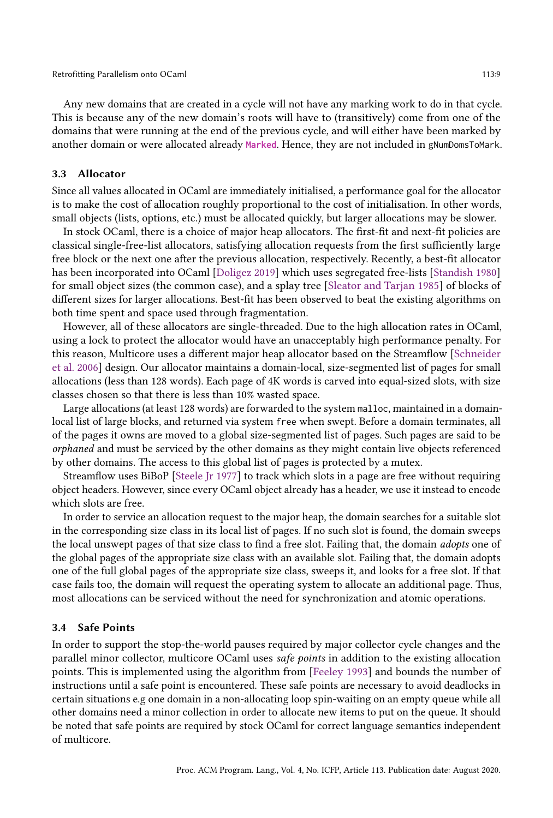Any new domains that are created in a cycle will not have any marking work to do in that cycle. This is because any of the new domain's roots will have to (transitively) come from one of the domains that were running at the end of the previous cycle, and will either have been marked by another domain or were allocated already **Marked**. Hence, they are not included in gNumDomsToMark.

#### 3.3 Allocator

Since all values allocated in OCaml are immediately initialised, a performance goal for the allocator is to make the cost of allocation roughly proportional to the cost of initialisation. In other words, small objects (lists, options, etc.) must be allocated quickly, but larger allocations may be slower.

In stock OCaml, there is a choice of major heap allocators. The first-fit and next-fit policies are classical single-free-list allocators, satisfying allocation requests from the first sufficiently large free block or the next one after the previous allocation, respectively. Recently, a best-fit allocator has been incorporated into OCaml [Doligez 2019] which uses segregated free-lists [Standish 1980] for small object sizes (the common case), and a splay tree [Sleator and Tarjan 1985] of blocks of different sizes for larger allocations. Best-fit has been observed to beat the existing algorithms on both time spent and space used through fragmentation.

However, all of these allocators are single-threaded. Due to the high allocation rates in OCaml, using a lock to protect the allocator would have an unacceptably high performance penalty. For this reason, Multicore uses a different major heap allocator based on the Streamflow [Schneider et al. 2006] design. Our allocator maintains a domain-local, size-segmented list of pages for small allocations (less than 128 words). Each page of 4K words is carved into equal-sized slots, with size classes chosen so that there is less than 10% wasted space.

Large allocations (at least 128 words) are forwarded to the system malloc, maintained in a domainlocal list of large blocks, and returned via system free when swept. Before a domain terminates, all of the pages it owns are moved to a global size-segmented list of pages. Such pages are said to be orphaned and must be serviced by the other domains as they might contain live objects referenced by other domains. The access to this global list of pages is protected by a mutex.

Streamflow uses BiBoP [Steele Jr 1977] to track which slots in a page are free without requiring object headers. However, since every OCaml object already has a header, we use it instead to encode which slots are free.

In order to service an allocation request to the major heap, the domain searches for a suitable slot in the corresponding size class in its local list of pages. If no such slot is found, the domain sweeps the local unswept pages of that size class to find a free slot. Failing that, the domain adopts one of the global pages of the appropriate size class with an available slot. Failing that, the domain adopts one of the full global pages of the appropriate size class, sweeps it, and looks for a free slot. If that case fails too, the domain will request the operating system to allocate an additional page. Thus, most allocations can be serviced without the need for synchronization and atomic operations.

#### 3.4 Safe Points

In order to support the stop-the-world pauses required by major collector cycle changes and the parallel minor collector, multicore OCaml uses safe points in addition to the existing allocation points. This is implemented using the algorithm from [Feeley 1993] and bounds the number of instructions until a safe point is encountered. These safe points are necessary to avoid deadlocks in certain situations e.g one domain in a non-allocating loop spin-waiting on an empty queue while all other domains need a minor collection in order to allocate new items to put on the queue. It should be noted that safe points are required by stock OCaml for correct language semantics independent of multicore.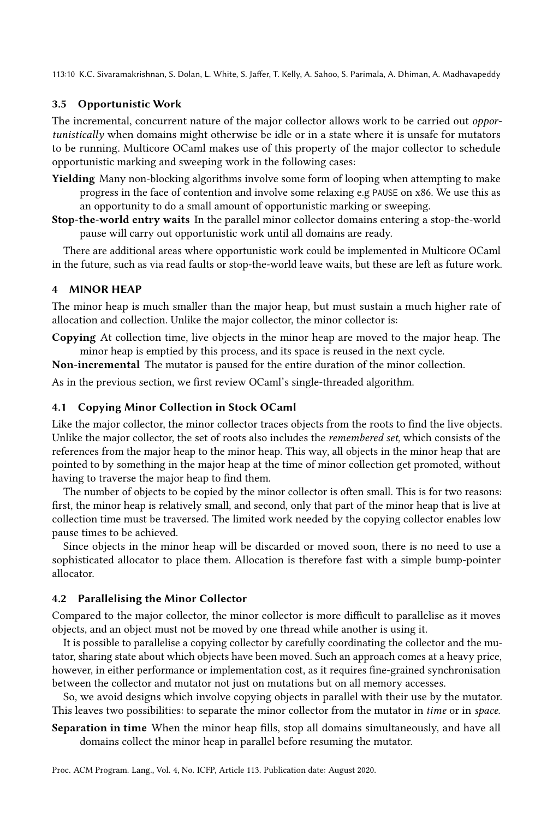113:10 K.C. Sivaramakrishnan, S. Dolan, L. White, S. Jaffer, T. Kelly, A. Sahoo, S. Parimala, A. Dhiman, A. Madhavapeddy

### 3.5 Opportunistic Work

The incremental, concurrent nature of the major collector allows work to be carried out opportunistically when domains might otherwise be idle or in a state where it is unsafe for mutators to be running. Multicore OCaml makes use of this property of the major collector to schedule opportunistic marking and sweeping work in the following cases:

- Yielding Many non-blocking algorithms involve some form of looping when attempting to make progress in the face of contention and involve some relaxing e.g PAUSE on x86. We use this as an opportunity to do a small amount of opportunistic marking or sweeping.
- Stop-the-world entry waits In the parallel minor collector domains entering a stop-the-world pause will carry out opportunistic work until all domains are ready.

There are additional areas where opportunistic work could be implemented in Multicore OCaml in the future, such as via read faults or stop-the-world leave waits, but these are left as future work.

### 4 MINOR HEAP

The minor heap is much smaller than the major heap, but must sustain a much higher rate of allocation and collection. Unlike the major collector, the minor collector is:

Copying At collection time, live objects in the minor heap are moved to the major heap. The minor heap is emptied by this process, and its space is reused in the next cycle.

Non-incremental The mutator is paused for the entire duration of the minor collection.

As in the previous section, we first review OCaml's single-threaded algorithm.

### 4.1 Copying Minor Collection in Stock OCaml

Like the major collector, the minor collector traces objects from the roots to find the live objects. Unlike the major collector, the set of roots also includes the remembered set, which consists of the references from the major heap to the minor heap. This way, all objects in the minor heap that are pointed to by something in the major heap at the time of minor collection get promoted, without having to traverse the major heap to find them.

The number of objects to be copied by the minor collector is often small. This is for two reasons: first, the minor heap is relatively small, and second, only that part of the minor heap that is live at collection time must be traversed. The limited work needed by the copying collector enables low pause times to be achieved.

Since objects in the minor heap will be discarded or moved soon, there is no need to use a sophisticated allocator to place them. Allocation is therefore fast with a simple bump-pointer allocator.

### 4.2 Parallelising the Minor Collector

Compared to the major collector, the minor collector is more difficult to parallelise as it moves objects, and an object must not be moved by one thread while another is using it.

It is possible to parallelise a copying collector by carefully coordinating the collector and the mutator, sharing state about which objects have been moved. Such an approach comes at a heavy price, however, in either performance or implementation cost, as it requires fine-grained synchronisation between the collector and mutator not just on mutations but on all memory accesses.

So, we avoid designs which involve copying objects in parallel with their use by the mutator. This leaves two possibilities: to separate the minor collector from the mutator in time or in space.

Separation in time When the minor heap fills, stop all domains simultaneously, and have all domains collect the minor heap in parallel before resuming the mutator.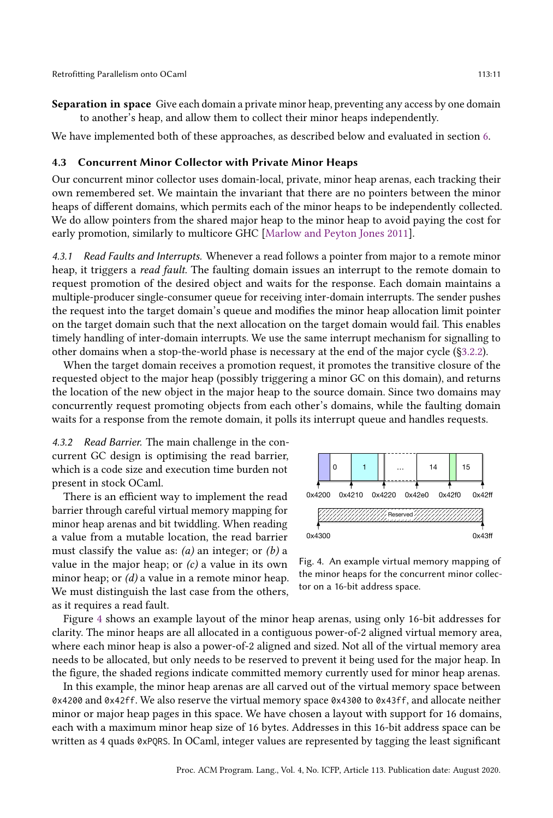Separation in space Give each domain a private minor heap, preventing any access by one domain to another's heap, and allow them to collect their minor heaps independently.

We have implemented both of these approaches, as described below and evaluated in section 6.

#### 4.3 Concurrent Minor Collector with Private Minor Heaps

Our concurrent minor collector uses domain-local, private, minor heap arenas, each tracking their own remembered set. We maintain the invariant that there are no pointers between the minor heaps of different domains, which permits each of the minor heaps to be independently collected. We do allow pointers from the shared major heap to the minor heap to avoid paying the cost for early promotion, similarly to multicore GHC [Marlow and Peyton Jones 2011].

4.3.1 Read Faults and Interrupts. Whenever a read follows a pointer from major to a remote minor heap, it triggers a *read fault*. The faulting domain issues an interrupt to the remote domain to request promotion of the desired object and waits for the response. Each domain maintains a multiple-producer single-consumer queue for receiving inter-domain interrupts. The sender pushes the request into the target domain's queue and modifies the minor heap allocation limit pointer on the target domain such that the next allocation on the target domain would fail. This enables timely handling of inter-domain interrupts. We use the same interrupt mechanism for signalling to other domains when a stop-the-world phase is necessary at the end of the major cycle (ğ3.2.2).

When the target domain receives a promotion request, it promotes the transitive closure of the requested object to the major heap (possibly triggering a minor GC on this domain), and returns the location of the new object in the major heap to the source domain. Since two domains may concurrently request promoting objects from each other's domains, while the faulting domain waits for a response from the remote domain, it polls its interrupt queue and handles requests.

4.3.2 Read Barrier. The main challenge in the concurrent GC design is optimising the read barrier, which is a code size and execution time burden not present in stock OCaml.

There is an efficient way to implement the read barrier through careful virtual memory mapping for minor heap arenas and bit twiddling. When reading a value from a mutable location, the read barrier must classify the value as:  $(a)$  an integer; or  $(b)$  a value in the major heap; or  $(c)$  a value in its own minor heap; or  $(d)$  a value in a remote minor heap. We must distinguish the last case from the others, as it requires a read fault.



Fig. 4. An example virtual memory mapping of the minor heaps for the concurrent minor collector on a 16-bit address space.

Figure 4 shows an example layout of the minor heap arenas, using only 16-bit addresses for clarity. The minor heaps are all allocated in a contiguous power-of-2 aligned virtual memory area, where each minor heap is also a power-of-2 aligned and sized. Not all of the virtual memory area needs to be allocated, but only needs to be reserved to prevent it being used for the major heap. In the figure, the shaded regions indicate committed memory currently used for minor heap arenas.

In this example, the minor heap arenas are all carved out of the virtual memory space between 0x4200 and 0x42ff. We also reserve the virtual memory space 0x4300 to 0x43ff, and allocate neither minor or major heap pages in this space. We have chosen a layout with support for 16 domains, each with a maximum minor heap size of 16 bytes. Addresses in this 16-bit address space can be written as 4 quads 0xPQRS. In OCaml, integer values are represented by tagging the least significant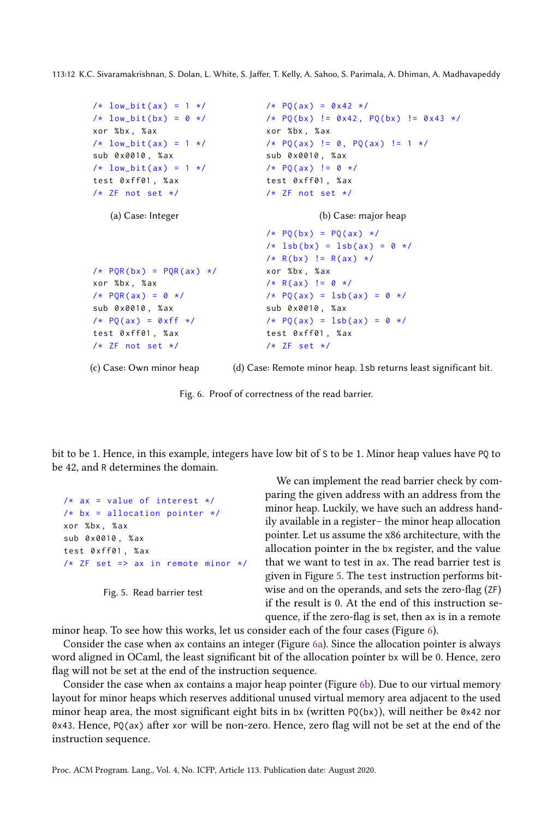113:12 K.C. Sivaramakrishnan, S. Dolan, L. White, S. Jaffer, T. Kelly, A. Sahoo, S. Parimala, A. Dhiman, A. Madhavapeddy

```
/* low_bit(ax) = 1 */
/* low_bit(bx) = 0 */
xor %bx , % ax
/* low_bit(ax) = 1 */sub 0 x0010 , % ax
/* low_bit(ax) = 1 */
test 0 xff01 , % ax
/* ZF not set */
   (a) Case: Integer
                                  /* PQ(ax) = 0x42 */
                                  /* PQ(bx) != 0 \times 42, PQ(bx) != 0 \times 43 */
                                  xor %bx , % ax
                                 /* PQ(ax) != 0, PQ(ax) != 1 */
                                 sub 0 x0010 , % ax
                                  /* PQ(ax) = 0 \times 1test 0 xff01 , % ax
                                  /* ZF not set */
                                             (b) Case: major heap
/* POR(bx) = POR(ax) */
xor %bx , % ax
/* PQR(ax) = 0 */
sub 0 x0010 , % ax
/* PQ(ax) = 0xff */test 0 xff01 , % ax
/* ZF not set */
                                  /* PQ(bx) = PQ(ax) *//* 1sb(bx) = 1sb(ax) = 0 *//* R(bx) != R(ax) */
                                  xor %bx , % ax
                                  /* R(ax) != 0 */
                                 /* PQ(ax) = lsb(ax) = 0 */sub 0 x0010 , % ax
                                  /* PQ(ax) = lsb(ax) = 0 */
                                  test 0 xff01 , % ax
                                  /* ZF set */
```
(c) Case: Own minor heap

(d) Case: Remote minor heap. lsb returns least significant bit.

Fig. 6. Proof of correctness of the read barrier.

bit to be 1. Hence, in this example, integers have low bit of S to be 1. Minor heap values have PQ to be 42, and R determines the domain.

```
/* ax = value of interest *//* bx = allocation pointer */xor %bx , % ax
sub 0 x0010 , % ax
test 0 xff01 , % ax
/* ZF set => ax in remote minor */
```
Fig. 5. Read barrier test

We can implement the read barrier check by comparing the given address with an address from the minor heap. Luckily, we have such an address handily available in a register- the minor heap allocation pointer. Let us assume the x86 architecture, with the allocation pointer in the bx register, and the value that we want to test in ax. The read barrier test is given in Figure 5. The test instruction performs bitwise and on the operands, and sets the zero-flag (ZF) if the result is 0. At the end of this instruction sequence, if the zero-flag is set, then ax is in a remote

minor heap. To see how this works, let us consider each of the four cases (Figure 6).

Consider the case when ax contains an integer (Figure 6a). Since the allocation pointer is always word aligned in OCaml, the least significant bit of the allocation pointer bx will be 0. Hence, zero flag will not be set at the end of the instruction sequence.

Consider the case when ax contains a major heap pointer (Figure 6b). Due to our virtual memory layout for minor heaps which reserves additional unused virtual memory area adjacent to the used minor heap area, the most significant eight bits in bx (written  $PQ(bx)$ ), will neither be 0x42 nor 0x43. Hence, PQ(ax) after xor will be non-zero. Hence, zero flag will not be set at the end of the instruction sequence.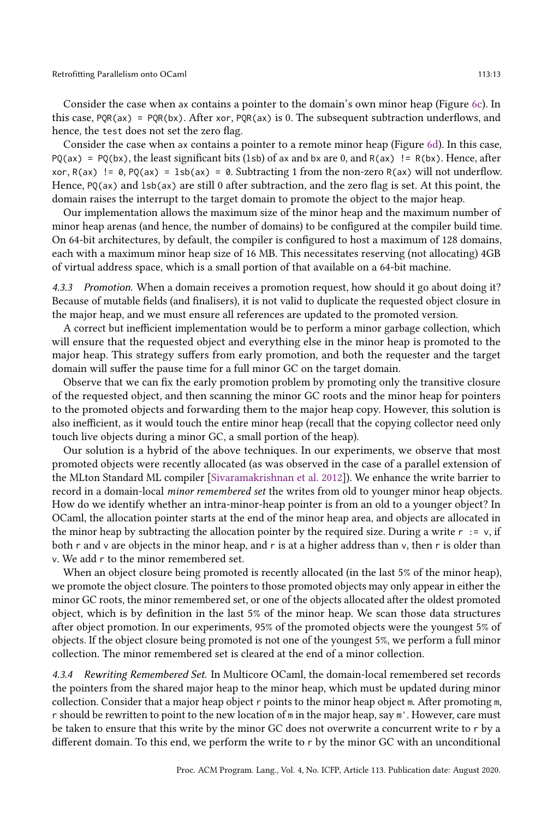Consider the case when ax contains a pointer to the domain's own minor heap (Figure 6c). In this case,  $PQR(ax) = PQR(bx)$ . After xor,  $PQR(ax)$  is 0. The subsequent subtraction underflows, and hence, the test does not set the zero flag.

Consider the case when ax contains a pointer to a remote minor heap (Figure 6d). In this case,  $PQ(ax) = PQ(bx)$ , the least significant bits (1sb) of ax and bx are 0, and  $R(ax) = R(bx)$ . Hence, after xor,  $R(ax)$  != 0,  $PQ(ax) = 1$ sb(ax) = 0. Subtracting 1 from the non-zero  $R(ax)$  will not underflow. Hence,  $PQ(ax)$  and  $1sb(ax)$  are still 0 after subtraction, and the zero flag is set. At this point, the domain raises the interrupt to the target domain to promote the object to the major heap.

Our implementation allows the maximum size of the minor heap and the maximum number of minor heap arenas (and hence, the number of domains) to be configured at the compiler build time. On 64-bit architectures, by default, the compiler is configured to host a maximum of 128 domains, each with a maximum minor heap size of 16 MB. This necessitates reserving (not allocating) 4GB of virtual address space, which is a small portion of that available on a 64-bit machine.

4.3.3 Promotion. When a domain receives a promotion request, how should it go about doing it? Because of mutable fields (and finalisers), it is not valid to duplicate the requested object closure in the major heap, and we must ensure all references are updated to the promoted version.

A correct but inefficient implementation would be to perform a minor garbage collection, which will ensure that the requested object and everything else in the minor heap is promoted to the major heap. This strategy suffers from early promotion, and both the requester and the target domain will suffer the pause time for a full minor GC on the target domain.

Observe that we can fix the early promotion problem by promoting only the transitive closure of the requested object, and then scanning the minor GC roots and the minor heap for pointers to the promoted objects and forwarding them to the major heap copy. However, this solution is also inefficient, as it would touch the entire minor heap (recall that the copying collector need only touch live objects during a minor GC, a small portion of the heap).

Our solution is a hybrid of the above techniques. In our experiments, we observe that most promoted objects were recently allocated (as was observed in the case of a parallel extension of the MLton Standard ML compiler [Sivaramakrishnan et al. 2012]). We enhance the write barrier to record in a domain-local minor remembered set the writes from old to younger minor heap objects. How do we identify whether an intra-minor-heap pointer is from an old to a younger object? In OCaml, the allocation pointer starts at the end of the minor heap area, and objects are allocated in the minor heap by subtracting the allocation pointer by the required size. During a write  $r : = v$ , if both r and v are objects in the minor heap, and r is at a higher address than v, then r is older than v. We add r to the minor remembered set.

When an object closure being promoted is recently allocated (in the last 5% of the minor heap), we promote the object closure. The pointers to those promoted objects may only appear in either the minor GC roots, the minor remembered set, or one of the objects allocated after the oldest promoted object, which is by definition in the last 5% of the minor heap. We scan those data structures after object promotion. In our experiments, 95% of the promoted objects were the youngest 5% of objects. If the object closure being promoted is not one of the youngest 5%, we perform a full minor collection. The minor remembered set is cleared at the end of a minor collection.

4.3.4 Rewriting Remembered Set. In Multicore OCaml, the domain-local remembered set records the pointers from the shared major heap to the minor heap, which must be updated during minor collection. Consider that a major heap object r points to the minor heap object m. After promoting m, r should be rewritten to point to the new location of m in the major heap, say m'. However, care must be taken to ensure that this write by the minor GC does not overwrite a concurrent write to r by a different domain. To this end, we perform the write to r by the minor GC with an unconditional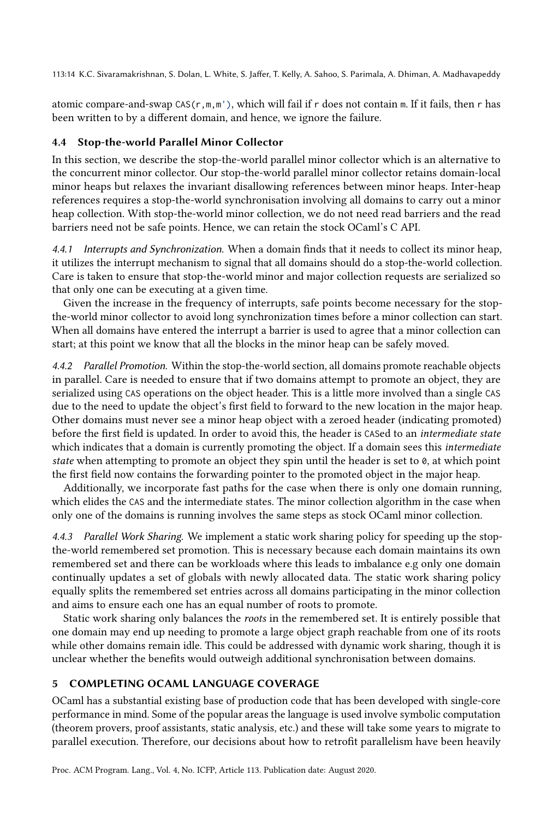113:14 K.C. Sivaramakrishnan, S. Dolan, L. White, S. Jaffer, T. Kelly, A. Sahoo, S. Parimala, A. Dhiman, A. Madhavapeddy

atomic compare-and-swap  $CAS(r, m, m')$ , which will fail if r does not contain m. If it fails, then r has been written to by a different domain, and hence, we ignore the failure.

### 4.4 Stop-the-world Parallel Minor Collector

In this section, we describe the stop-the-world parallel minor collector which is an alternative to the concurrent minor collector. Our stop-the-world parallel minor collector retains domain-local minor heaps but relaxes the invariant disallowing references between minor heaps. Inter-heap references requires a stop-the-world synchronisation involving all domains to carry out a minor heap collection. With stop-the-world minor collection, we do not need read barriers and the read barriers need not be safe points. Hence, we can retain the stock OCaml's C API.

4.4.1 Interrupts and Synchronization. When a domain finds that it needs to collect its minor heap, it utilizes the interrupt mechanism to signal that all domains should do a stop-the-world collection. Care is taken to ensure that stop-the-world minor and major collection requests are serialized so that only one can be executing at a given time.

Given the increase in the frequency of interrupts, safe points become necessary for the stopthe-world minor collector to avoid long synchronization times before a minor collection can start. When all domains have entered the interrupt a barrier is used to agree that a minor collection can start; at this point we know that all the blocks in the minor heap can be safely moved.

4.4.2 Parallel Promotion. Within the stop-the-world section, all domains promote reachable objects in parallel. Care is needed to ensure that if two domains attempt to promote an object, they are serialized using CAS operations on the object header. This is a little more involved than a single CAS due to the need to update the object's first field to forward to the new location in the major heap. Other domains must never see a minor heap object with a zeroed header (indicating promoted) before the first field is updated. In order to avoid this, the header is CASed to an intermediate state which indicates that a domain is currently promoting the object. If a domain sees this intermediate state when attempting to promote an object they spin until the header is set to  $\theta$ , at which point the first field now contains the forwarding pointer to the promoted object in the major heap.

Additionally, we incorporate fast paths for the case when there is only one domain running, which elides the CAS and the intermediate states. The minor collection algorithm in the case when only one of the domains is running involves the same steps as stock OCaml minor collection.

4.4.3 Parallel Work Sharing. We implement a static work sharing policy for speeding up the stopthe-world remembered set promotion. This is necessary because each domain maintains its own remembered set and there can be workloads where this leads to imbalance e.g only one domain continually updates a set of globals with newly allocated data. The static work sharing policy equally splits the remembered set entries across all domains participating in the minor collection and aims to ensure each one has an equal number of roots to promote.

Static work sharing only balances the roots in the remembered set. It is entirely possible that one domain may end up needing to promote a large object graph reachable from one of its roots while other domains remain idle. This could be addressed with dynamic work sharing, though it is unclear whether the benefits would outweigh additional synchronisation between domains.

# 5 COMPLETING OCAML LANGUAGE COVERAGE

OCaml has a substantial existing base of production code that has been developed with single-core performance in mind. Some of the popular areas the language is used involve symbolic computation (theorem provers, proof assistants, static analysis, etc.) and these will take some years to migrate to parallel execution. Therefore, our decisions about how to retrofit parallelism have been heavily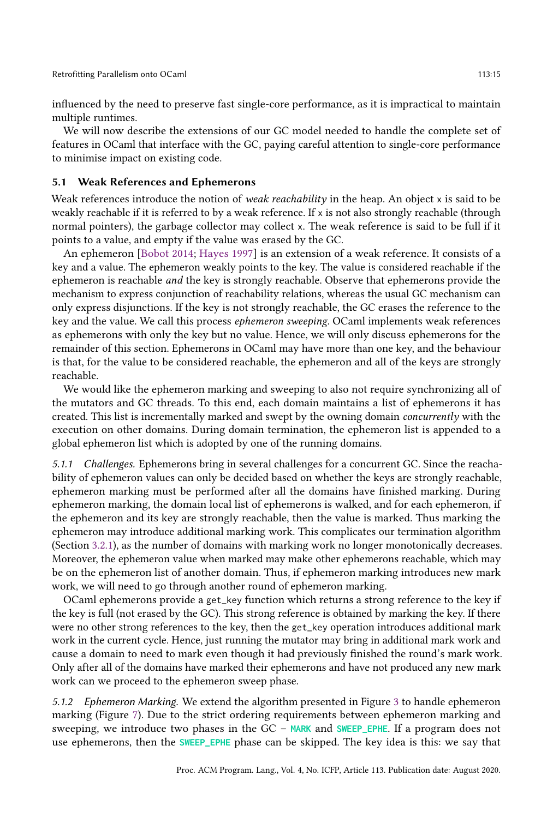influenced by the need to preserve fast single-core performance, as it is impractical to maintain multiple runtimes.

We will now describe the extensions of our GC model needed to handle the complete set of features in OCaml that interface with the GC, paying careful attention to single-core performance to minimise impact on existing code.

### 5.1 Weak References and Ephemerons

Weak references introduce the notion of weak reachability in the heap. An object x is said to be weakly reachable if it is referred to by a weak reference. If x is not also strongly reachable (through normal pointers), the garbage collector may collect x. The weak reference is said to be full if it points to a value, and empty if the value was erased by the GC.

An ephemeron [Bobot 2014; Hayes 1997] is an extension of a weak reference. It consists of a key and a value. The ephemeron weakly points to the key. The value is considered reachable if the ephemeron is reachable and the key is strongly reachable. Observe that ephemerons provide the mechanism to express conjunction of reachability relations, whereas the usual GC mechanism can only express disjunctions. If the key is not strongly reachable, the GC erases the reference to the key and the value. We call this process ephemeron sweeping. OCaml implements weak references as ephemerons with only the key but no value. Hence, we will only discuss ephemerons for the remainder of this section. Ephemerons in OCaml may have more than one key, and the behaviour is that, for the value to be considered reachable, the ephemeron and all of the keys are strongly reachable.

We would like the ephemeron marking and sweeping to also not require synchronizing all of the mutators and GC threads. To this end, each domain maintains a list of ephemerons it has created. This list is incrementally marked and swept by the owning domain concurrently with the execution on other domains. During domain termination, the ephemeron list is appended to a global ephemeron list which is adopted by one of the running domains.

5.1.1 Challenges. Ephemerons bring in several challenges for a concurrent GC. Since the reachability of ephemeron values can only be decided based on whether the keys are strongly reachable, ephemeron marking must be performed after all the domains have finished marking. During ephemeron marking, the domain local list of ephemerons is walked, and for each ephemeron, if the ephemeron and its key are strongly reachable, then the value is marked. Thus marking the ephemeron may introduce additional marking work. This complicates our termination algorithm (Section 3.2.1), as the number of domains with marking work no longer monotonically decreases. Moreover, the ephemeron value when marked may make other ephemerons reachable, which may be on the ephemeron list of another domain. Thus, if ephemeron marking introduces new mark work, we will need to go through another round of ephemeron marking.

OCaml ephemerons provide a get\_key function which returns a strong reference to the key if the key is full (not erased by the GC). This strong reference is obtained by marking the key. If there were no other strong references to the key, then the get\_key operation introduces additional mark work in the current cycle. Hence, just running the mutator may bring in additional mark work and cause a domain to need to mark even though it had previously finished the round's mark work. Only after all of the domains have marked their ephemerons and have not produced any new mark work can we proceed to the ephemeron sweep phase.

5.1.2 Ephemeron Marking. We extend the algorithm presented in Figure 3 to handle ephemeron marking (Figure 7). Due to the strict ordering requirements between ephemeron marking and sweeping, we introduce two phases in the GC – MARK and SWEEP\_EPHE. If a program does not use ephemerons, then the **SWEEP\_EPHE** phase can be skipped. The key idea is this: we say that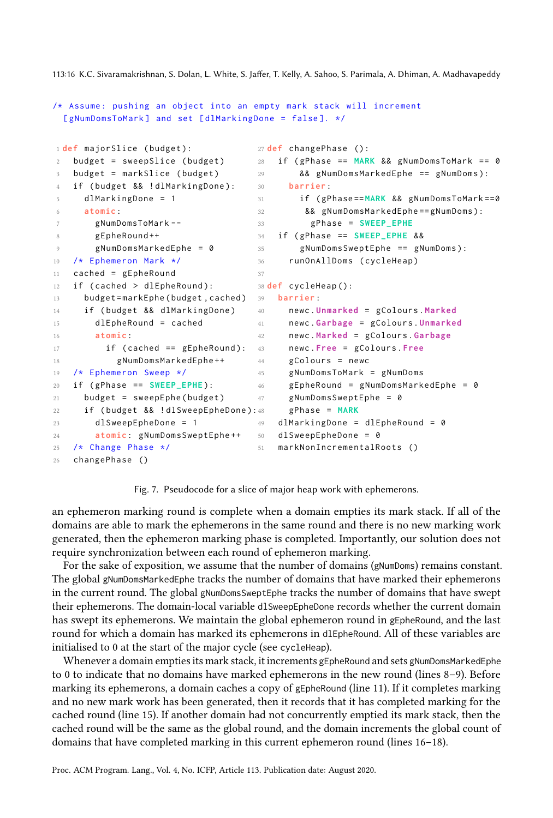113:16 K.C. Sivaramakrishnan, S. Dolan, L. White, S. Jaffer, T. Kelly, A. Sahoo, S. Parimala, A. Dhiman, A. Madhavapeddy

```
/* Assume: pushing an object into an empty mark stack will increment
 [gNumDomsToMark] and set [dlMarkingDone = false]. */
1 def majorSlice ( budget ):
2 budget = sweepSlice (budget)
3 budget = markSlice ( budget )
4 if ( budget && ! dlMarkingDone ):
5 dlMarkingDone = 1
6 atomic :
7 gNumDomsToMark --
8 gEpheRound ++
9 gNumDomsMarkedEphe = 0
10 /* Ephemeron Mark */
11 cached = gEpheRound
12 if (cached > dlEpheRound):
13 budget = markEphe ( budget , cached )
39 barrier :
14 if ( budget && dlMarkingDone )
15 dlEpheRound = cached
16 atomic :
17 if (cached == gEpheRound): 4318 gNumDomsMarkedEphe ++
19 /* Ephemeron Sweep */
20 if ( gPhase == SWEEP_EPHE ):
21 budget = sweepEphe (budget)
22 if ( budget && ! dlSweepEpheDone ):
23 dlSweepEpheDone = 1
24 atomic : gNumDomsSweptEphe ++
25 /* Change Phase */
26 changePhase ()
                                    27 def changePhase ():
                                    28 if ( gPhase == MARK && gNumDomsToMark == 0
                                    29 && gNumDomsMarkedEphe == gNumDoms ):
                                    30 barrier :
                                    31 if ( gPhase == MARK && gNumDomsToMark ==0
                                    32 && gNumDomsMarkedEphe == gNumDoms ):
                                    33 gPhase = SWEEP_EPHE
                                    34 if ( gPhase == SWEEP_EPHE &&
                                    35 gNumDomsSweptEphe == gNumDoms ):
                                    36 runOnAllDoms ( cycleHeap )
                                    37
                                    38 def cycleHeap ():
                                    40 newc . Unmarked = gColours . Marked
                                    41 newc . Garbage = gColours . Unmarked
                                    42 newc . Marked = gColours . Garbage
                                          43 newc . Free = gColours . Free
                                    44 gColours = newc
                                    45 gNumDomsToMark = gNumDoms
                                    46 gEpheRound = gNumDomsMarkedEphe = 0
                                   47 gNumDomsSweptEphe = 0
                                          48 gPhase = MARK
                                   49 dlMarkingDone = dlEpheRound = 0
                                    50 dlSweepEpheDone = 0
                                    51 markNonIncrementalRoots ()
```
Fig. 7. Pseudocode for a slice of major heap work with ephemerons.

an ephemeron marking round is complete when a domain empties its mark stack. If all of the domains are able to mark the ephemerons in the same round and there is no new marking work generated, then the ephemeron marking phase is completed. Importantly, our solution does not require synchronization between each round of ephemeron marking.

For the sake of exposition, we assume that the number of domains (gNumDoms) remains constant. The global gNumDomsMarkedEphe tracks the number of domains that have marked their ephemerons in the current round. The global gNumDomsSweptEphe tracks the number of domains that have swept their ephemerons. The domain-local variable dlSweepEpheDone records whether the current domain has swept its ephemerons. We maintain the global ephemeron round in gEpheRound, and the last round for which a domain has marked its ephemerons in dlEpheRound. All of these variables are initialised to 0 at the start of the major cycle (see cycleHeap).

Whenever a domain empties its mark stack, it increments gEpheRound and sets gNumDomsMarkedEphe to 0 to indicate that no domains have marked ephemerons in the new round (lines  $8-9$ ). Before marking its ephemerons, a domain caches a copy of gEpheRound (line 11). If it completes marking and no new mark work has been generated, then it records that it has completed marking for the cached round (line 15). If another domain had not concurrently emptied its mark stack, then the cached round will be the same as the global round, and the domain increments the global count of domains that have completed marking in this current ephemeron round (lines  $16-18$ ).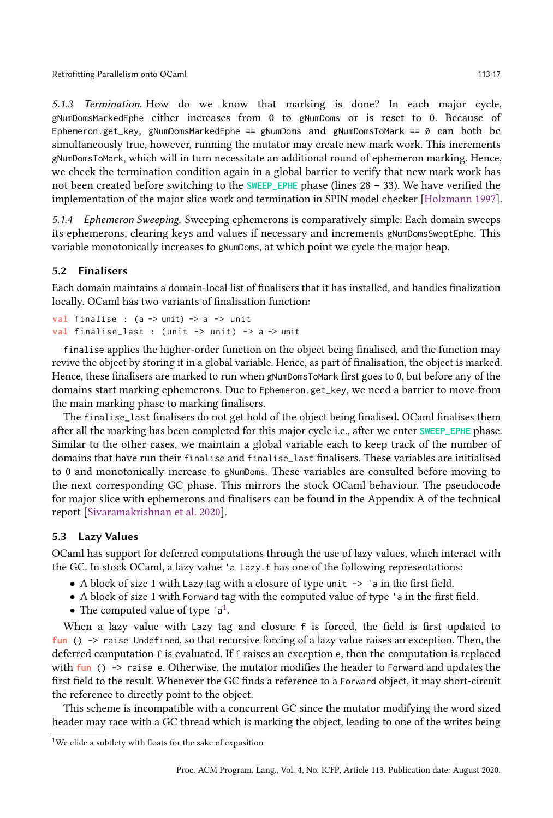5.1.3 Termination. How do we know that marking is done? In each major cycle, gNumDomsMarkedEphe either increases from 0 to gNumDoms or is reset to 0. Because of Ephemeron.get\_key, gNumDomsMarkedEphe == gNumDoms and gNumDomsToMark == 0 can both be simultaneously true, however, running the mutator may create new mark work. This increments gNumDomsToMark, which will in turn necessitate an additional round of ephemeron marking. Hence, we check the termination condition again in a global barrier to verify that new mark work has not been created before switching to the SWEEP\_EPHE phase (lines 28 - 33). We have verified the implementation of the major slice work and termination in SPIN model checker [Holzmann 1997].

5.1.4 Ephemeron Sweeping. Sweeping ephemerons is comparatively simple. Each domain sweeps its ephemerons, clearing keys and values if necessary and increments gNumDomsSweptEphe. This variable monotonically increases to gNumDoms, at which point we cycle the major heap.

### 5.2 Finalisers

Each domain maintains a domain-local list of finalisers that it has installed, and handles finalization locally. OCaml has two variants of finalisation function:

```
val finalise : (a -> unit) -> a -> unit
val finalise_last : ( unit -> unit ) -> a -> unit
```
finalise applies the higher-order function on the object being finalised, and the function may revive the object by storing it in a global variable. Hence, as part of finalisation, the object is marked. Hence, these finalisers are marked to run when gNumDomsToMark first goes to 0, but before any of the domains start marking ephemerons. Due to Ephemeron.get\_key, we need a barrier to move from the main marking phase to marking finalisers.

The finalise\_last finalisers do not get hold of the object being finalised. OCaml finalises them after all the marking has been completed for this major cycle i.e., after we enter **SWEEP\_EPHE** phase. Similar to the other cases, we maintain a global variable each to keep track of the number of domains that have run their finalise and finalise\_last finalisers. These variables are initialised to 0 and monotonically increase to gNumDoms. These variables are consulted before moving to the next corresponding GC phase. This mirrors the stock OCaml behaviour. The pseudocode for major slice with ephemerons and finalisers can be found in the Appendix A of the technical report [Sivaramakrishnan et al. 2020].

### 5.3 Lazy Values

OCaml has support for deferred computations through the use of lazy values, which interact with the GC. In stock OCaml, a lazy value 'a Lazy.t has one of the following representations:

- A block of size 1 with Lazy tag with a closure of type unit  $\rightarrow$  'a in the first field.
- A block of size 1 with Forward tag with the computed value of type 'a in the first field.
- The computed value of type  $'a^1$ .

When a lazy value with Lazy tag and closure f is forced, the field is first updated to **fun** () -> raise Undefined, so that recursive forcing of a lazy value raises an exception. Then, the deferred computation f is evaluated. If f raises an exception e, then the computation is replaced with **fun** () -> raise e. Otherwise, the mutator modifies the header to Forward and updates the first field to the result. Whenever the GC finds a reference to a Forward object, it may short-circuit the reference to directly point to the object.

This scheme is incompatible with a concurrent GC since the mutator modifying the word sized header may race with a GC thread which is marking the object, leading to one of the writes being

<sup>&</sup>lt;sup>1</sup>We elide a subtlety with floats for the sake of exposition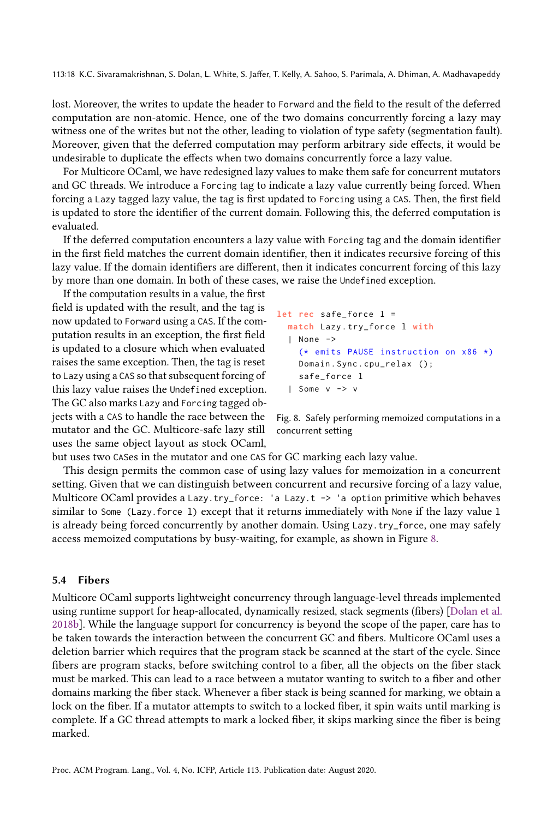113:18 K.C. Sivaramakrishnan, S. Dolan, L. White, S. Jaffer, T. Kelly, A. Sahoo, S. Parimala, A. Dhiman, A. Madhavapeddy

lost. Moreover, the writes to update the header to Forward and the field to the result of the deferred computation are non-atomic. Hence, one of the two domains concurrently forcing a lazy may witness one of the writes but not the other, leading to violation of type safety (segmentation fault). Moreover, given that the deferred computation may perform arbitrary side effects, it would be undesirable to duplicate the effects when two domains concurrently force a lazy value.

For Multicore OCaml, we have redesigned lazy values to make them safe for concurrent mutators and GC threads. We introduce a Forcing tag to indicate a lazy value currently being forced. When forcing a Lazy tagged lazy value, the tag is first updated to Forcing using a CAS. Then, the first field is updated to store the identifier of the current domain. Following this, the deferred computation is evaluated.

If the deferred computation encounters a lazy value with Forcing tag and the domain identifier in the first field matches the current domain identifier, then it indicates recursive forcing of this lazy value. If the domain identifiers are different, then it indicates concurrent forcing of this lazy by more than one domain. In both of these cases, we raise the Undefined exception.

If the computation results in a value, the first field is updated with the result, and the tag is now updated to Forward using a CAS. If the computation results in an exception, the first field is updated to a closure which when evaluated raises the same exception. Then, the tag is reset to Lazy using a CAS so that subsequent forcing of this lazy value raises the Undefined exception. The GC also marks Lazy and Forcing tagged objects with a CAS to handle the race between the mutator and the GC. Multicore-safe lazy still uses the same object layout as stock OCaml,

```
let rec safe_force l =
  match Lazy . try_force l with
  | None ->
    (* emits PAUSE instruction on x86 *)
    Domain . Sync . cpu_relax ();
    safe_force l
  | Some v -> v
```
Fig. 8. Safely performing memoized computations in a concurrent setting

but uses two CASes in the mutator and one CAS for GC marking each lazy value.

This design permits the common case of using lazy values for memoization in a concurrent setting. Given that we can distinguish between concurrent and recursive forcing of a lazy value, Multicore OCaml provides a Lazy.try\_force: 'a Lazy.t -> 'a option primitive which behaves similar to Some (Lazy.force l) except that it returns immediately with None if the lazy value l is already being forced concurrently by another domain. Using Lazy.try\_force, one may safely access memoized computations by busy-waiting, for example, as shown in Figure 8.

#### 5.4 Fibers

Multicore OCaml supports lightweight concurrency through language-level threads implemented using runtime support for heap-allocated, dynamically resized, stack segments (fibers) [Dolan et al. 2018b]. While the language support for concurrency is beyond the scope of the paper, care has to be taken towards the interaction between the concurrent GC and fibers. Multicore OCaml uses a deletion barrier which requires that the program stack be scanned at the start of the cycle. Since fibers are program stacks, before switching control to a fiber, all the objects on the fiber stack must be marked. This can lead to a race between a mutator wanting to switch to a fiber and other domains marking the fiber stack. Whenever a fiber stack is being scanned for marking, we obtain a lock on the fiber. If a mutator attempts to switch to a locked fiber, it spin waits until marking is complete. If a GC thread attempts to mark a locked fiber, it skips marking since the fiber is being marked.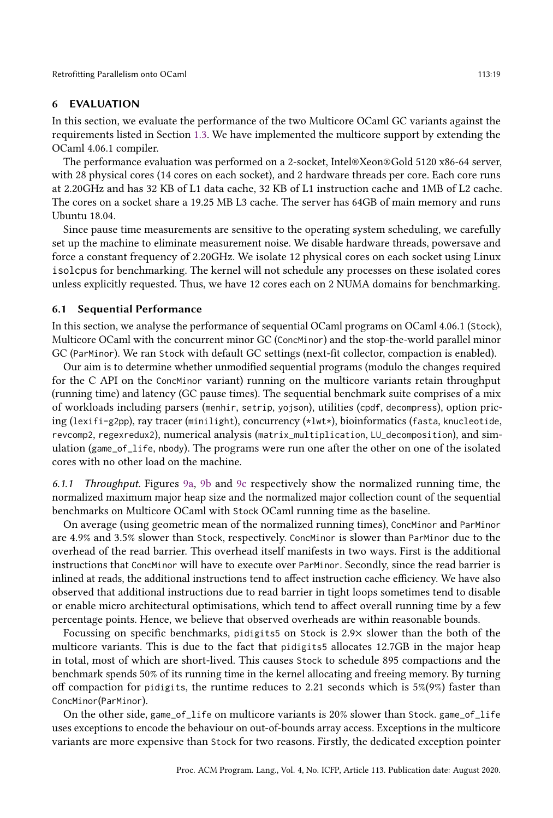### 6 EVALUATION

In this section, we evaluate the performance of the two Multicore OCaml GC variants against the requirements listed in Section 1.3. We have implemented the multicore support by extending the OCaml 4.06.1 compiler.

The performance evaluation was performed on a 2-socket, Intel®Xeon®Gold 5120 x86-64 server, with 28 physical cores (14 cores on each socket), and 2 hardware threads per core. Each core runs at 2.20GHz and has 32 KB of L1 data cache, 32 KB of L1 instruction cache and 1MB of L2 cache. The cores on a socket share a 19.25 MB L3 cache. The server has 64GB of main memory and runs Ubuntu 18.04.

Since pause time measurements are sensitive to the operating system scheduling, we carefully set up the machine to eliminate measurement noise. We disable hardware threads, powersave and force a constant frequency of 2.20GHz. We isolate 12 physical cores on each socket using Linux isolcpus for benchmarking. The kernel will not schedule any processes on these isolated cores unless explicitly requested. Thus, we have 12 cores each on 2 NUMA domains for benchmarking.

#### 6.1 Sequential Performance

In this section, we analyse the performance of sequential OCaml programs on OCaml 4.06.1 (Stock), Multicore OCaml with the concurrent minor GC (ConcMinor) and the stop-the-world parallel minor GC (ParMinor). We ran Stock with default GC settings (next-fit collector, compaction is enabled).

Our aim is to determine whether unmodified sequential programs (modulo the changes required for the C API on the ConcMinor variant) running on the multicore variants retain throughput (running time) and latency (GC pause times). The sequential benchmark suite comprises of a mix of workloads including parsers (menhir, setrip, yojson), utilities (cpdf, decompress), option pricing (lexifi-g2pp), ray tracer (minilight), concurrency (\*lwt\*), bioinformatics (fasta, knucleotide, revcomp2, regexredux2), numerical analysis (matrix\_multiplication, LU\_decomposition), and simulation (game\_of\_life, nbody). The programs were run one after the other on one of the isolated cores with no other load on the machine.

6.1.1 Throughput. Figures 9a, 9b and 9c respectively show the normalized running time, the normalized maximum major heap size and the normalized major collection count of the sequential benchmarks on Multicore OCaml with Stock OCaml running time as the baseline.

On average (using geometric mean of the normalized running times), ConcMinor and ParMinor are 4.9% and 3.5% slower than Stock, respectively. ConcMinor is slower than ParMinor due to the overhead of the read barrier. This overhead itself manifests in two ways. First is the additional instructions that ConcMinor will have to execute over ParMinor. Secondly, since the read barrier is inlined at reads, the additional instructions tend to affect instruction cache efficiency. We have also observed that additional instructions due to read barrier in tight loops sometimes tend to disable or enable micro architectural optimisations, which tend to affect overall running time by a few percentage points. Hence, we believe that observed overheads are within reasonable bounds.

Focussing on specific benchmarks, pidigits5 on Stock is 2.9× slower than the both of the multicore variants. This is due to the fact that pidigits5 allocates 12.7GB in the major heap in total, most of which are short-lived. This causes Stock to schedule 895 compactions and the benchmark spends 50% of its running time in the kernel allocating and freeing memory. By turning off compaction for pidigits, the runtime reduces to 2.21 seconds which is  $5\%/9\%$  faster than ConcMinor(ParMinor).

On the other side, game\_of\_life on multicore variants is 20% slower than Stock. game\_of\_life uses exceptions to encode the behaviour on out-of-bounds array access. Exceptions in the multicore variants are more expensive than Stock for two reasons. Firstly, the dedicated exception pointer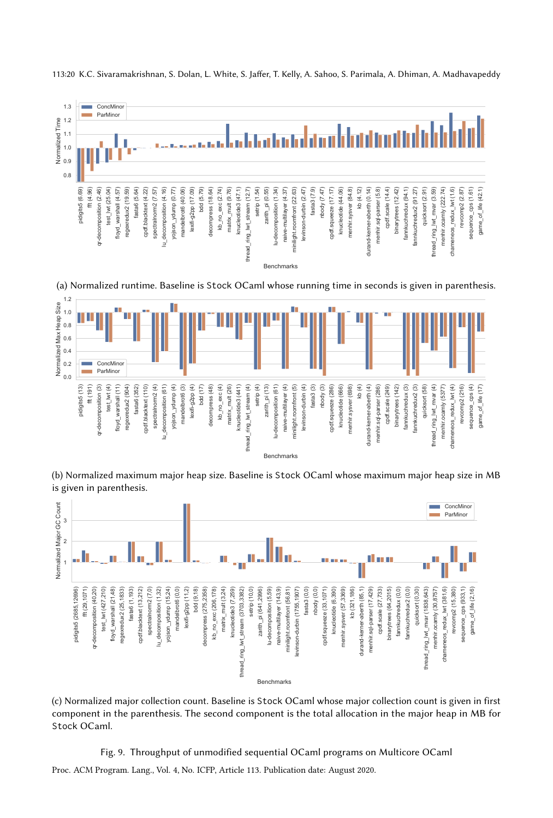

113:20 K.C. Sivaramakrishnan, S. Dolan, L. White, S. Jaffer, T. Kelly, A. Sahoo, S. Parimala, A. Dhiman, A. Madhavapeddy

(a) Normalized runtime. Baseline is Stock OCaml whose running time in seconds is given in parenthesis.



(b) Normalized maximum major heap size. Baseline is Stock OCaml whose maximum major heap size in MB is given in parenthesis.



(c) Normalized major collection count. Baseline is Stock OCaml whose major collection count is given in first component in the parenthesis. The second component is the total allocation in the major heap in MB for Stock OCaml.

Fig. 9. Throughput of unmodified sequential OCaml programs on Multicore OCaml

Proc. ACM Program. Lang., Vol. 4, No. ICFP, Article 113. Publication date: August 2020.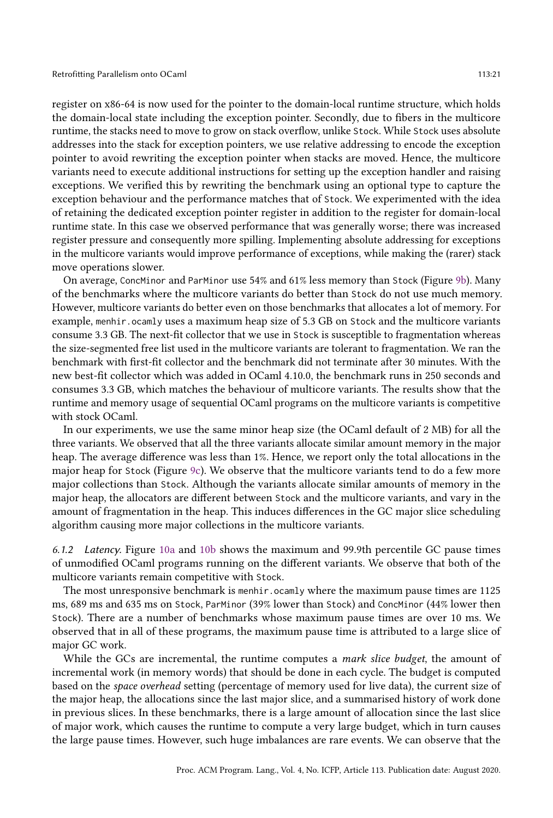register on x86-64 is now used for the pointer to the domain-local runtime structure, which holds the domain-local state including the exception pointer. Secondly, due to fibers in the multicore runtime, the stacks need to move to grow on stack overflow, unlike Stock. While Stock uses absolute addresses into the stack for exception pointers, we use relative addressing to encode the exception pointer to avoid rewriting the exception pointer when stacks are moved. Hence, the multicore variants need to execute additional instructions for setting up the exception handler and raising exceptions. We verified this by rewriting the benchmark using an optional type to capture the exception behaviour and the performance matches that of Stock. We experimented with the idea of retaining the dedicated exception pointer register in addition to the register for domain-local runtime state. In this case we observed performance that was generally worse; there was increased register pressure and consequently more spilling. Implementing absolute addressing for exceptions in the multicore variants would improve performance of exceptions, while making the (rarer) stack move operations slower.

On average, ConcMinor and ParMinor use 54% and 61% less memory than Stock (Figure 9b). Many of the benchmarks where the multicore variants do better than Stock do not use much memory. However, multicore variants do better even on those benchmarks that allocates a lot of memory. For example, menhir. ocamly uses a maximum heap size of 5.3 GB on Stock and the multicore variants consume 3.3 GB. The next-fit collector that we use in Stock is susceptible to fragmentation whereas the size-segmented free list used in the multicore variants are tolerant to fragmentation. We ran the benchmark with first-fit collector and the benchmark did not terminate after 30 minutes. With the new best-fit collector which was added in OCaml 4.10.0, the benchmark runs in 250 seconds and consumes 3.3 GB, which matches the behaviour of multicore variants. The results show that the runtime and memory usage of sequential OCaml programs on the multicore variants is competitive with stock OCaml.

In our experiments, we use the same minor heap size (the OCaml default of 2 MB) for all the three variants. We observed that all the three variants allocate similar amount memory in the major heap. The average difference was less than 1%. Hence, we report only the total allocations in the major heap for Stock (Figure 9c). We observe that the multicore variants tend to do a few more major collections than Stock. Although the variants allocate similar amounts of memory in the major heap, the allocators are different between Stock and the multicore variants, and vary in the amount of fragmentation in the heap. This induces differences in the GC major slice scheduling algorithm causing more major collections in the multicore variants.

6.1.2 Latency. Figure 10a and 10b shows the maximum and 99.9th percentile GC pause times of unmodified OCaml programs running on the different variants. We observe that both of the multicore variants remain competitive with Stock.

The most unresponsive benchmark is menhir.ocamly where the maximum pause times are 1125 ms, 689 ms and 635 ms on Stock, ParMinor (39% lower than Stock) and ConcMinor (44% lower then Stock). There are a number of benchmarks whose maximum pause times are over 10 ms. We observed that in all of these programs, the maximum pause time is attributed to a large slice of major GC work.

While the GCs are incremental, the runtime computes a *mark slice budget*, the amount of incremental work (in memory words) that should be done in each cycle. The budget is computed based on the space overhead setting (percentage of memory used for live data), the current size of the major heap, the allocations since the last major slice, and a summarised history of work done in previous slices. In these benchmarks, there is a large amount of allocation since the last slice of major work, which causes the runtime to compute a very large budget, which in turn causes the large pause times. However, such huge imbalances are rare events. We can observe that the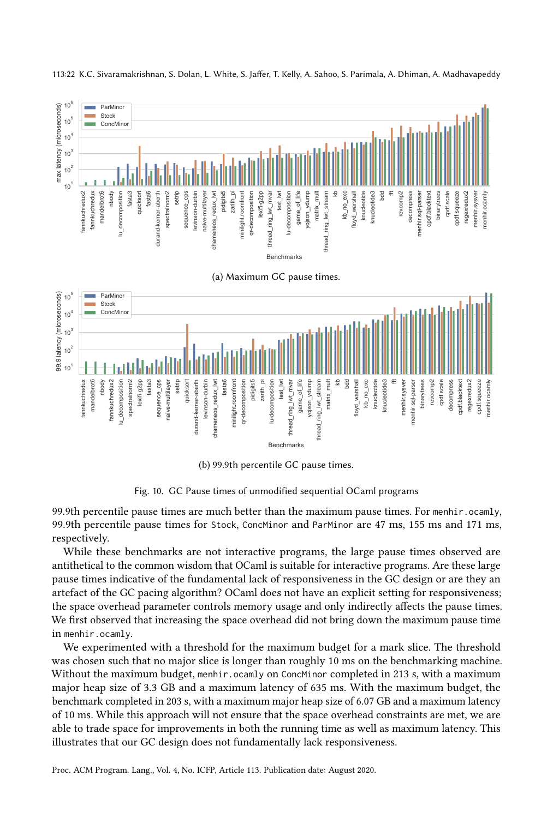

#### 113:22 K.C. Sivaramakrishnan, S. Dolan, L. White, S. Jaffer, T. Kelly, A. Sahoo, S. Parimala, A. Dhiman, A. Madhavapeddy

(b) 99.9th percentile GC pause times.

Fig. 10. GC Pause times of unmodified sequential OCaml programs

99.9th percentile pause times are much better than the maximum pause times. For menhir.ocamly, 99.9th percentile pause times for Stock, ConcMinor and ParMinor are 47 ms, 155 ms and 171 ms, respectively.

While these benchmarks are not interactive programs, the large pause times observed are antithetical to the common wisdom that OCaml is suitable for interactive programs. Are these large pause times indicative of the fundamental lack of responsiveness in the GC design or are they an artefact of the GC pacing algorithm? OCaml does not have an explicit setting for responsiveness; the space overhead parameter controls memory usage and only indirectly affects the pause times. We first observed that increasing the space overhead did not bring down the maximum pause time in menhir.ocamly.

We experimented with a threshold for the maximum budget for a mark slice. The threshold was chosen such that no major slice is longer than roughly 10 ms on the benchmarking machine. Without the maximum budget, menhir. ocamly on ConcMinor completed in 213 s, with a maximum major heap size of 3.3 GB and a maximum latency of 635 ms. With the maximum budget, the benchmark completed in 203 s, with a maximum major heap size of 6.07 GB and a maximum latency of 10 ms. While this approach will not ensure that the space overhead constraints are met, we are able to trade space for improvements in both the running time as well as maximum latency. This illustrates that our GC design does not fundamentally lack responsiveness.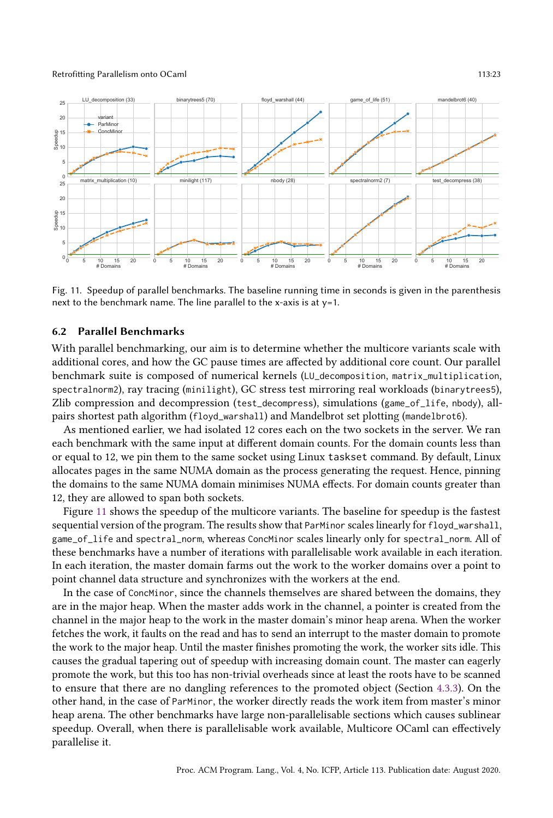

Fig. 11. Speedup of parallel benchmarks. The baseline running time in seconds is given in the parenthesis next to the benchmark name. The line parallel to the x-axis is at y=1.

### 6.2 Parallel Benchmarks

With parallel benchmarking, our aim is to determine whether the multicore variants scale with additional cores, and how the GC pause times are affected by additional core count. Our parallel benchmark suite is composed of numerical kernels (LU\_decomposition, matrix\_multiplication, spectralnorm2), ray tracing (minilight), GC stress test mirroring real workloads (binarytrees5), Zlib compression and decompression (test\_decompress), simulations (game\_of\_life, nbody), allpairs shortest path algorithm (floyd\_warshall) and Mandelbrot set plotting (mandelbrot6).

As mentioned earlier, we had isolated 12 cores each on the two sockets in the server. We ran each benchmark with the same input at different domain counts. For the domain counts less than or equal to 12, we pin them to the same socket using Linux taskset command. By default, Linux allocates pages in the same NUMA domain as the process generating the request. Hence, pinning the domains to the same NUMA domain minimises NUMA effects. For domain counts greater than 12, they are allowed to span both sockets.

Figure 11 shows the speedup of the multicore variants. The baseline for speedup is the fastest sequential version of the program. The results show that ParMinor scales linearly for floyd\_warshall, game\_of\_life and spectral\_norm, whereas ConcMinor scales linearly only for spectral\_norm. All of these benchmarks have a number of iterations with parallelisable work available in each iteration. In each iteration, the master domain farms out the work to the worker domains over a point to point channel data structure and synchronizes with the workers at the end.

In the case of ConcMinor, since the channels themselves are shared between the domains, they are in the major heap. When the master adds work in the channel, a pointer is created from the channel in the major heap to the work in the master domain's minor heap arena. When the worker fetches the work, it faults on the read and has to send an interrupt to the master domain to promote the work to the major heap. Until the master finishes promoting the work, the worker sits idle. This causes the gradual tapering out of speedup with increasing domain count. The master can eagerly promote the work, but this too has non-trivial overheads since at least the roots have to be scanned to ensure that there are no dangling references to the promoted object (Section 4.3.3). On the other hand, in the case of ParMinor, the worker directly reads the work item from master's minor heap arena. The other benchmarks have large non-parallelisable sections which causes sublinear speedup. Overall, when there is parallelisable work available, Multicore OCaml can effectively parallelise it.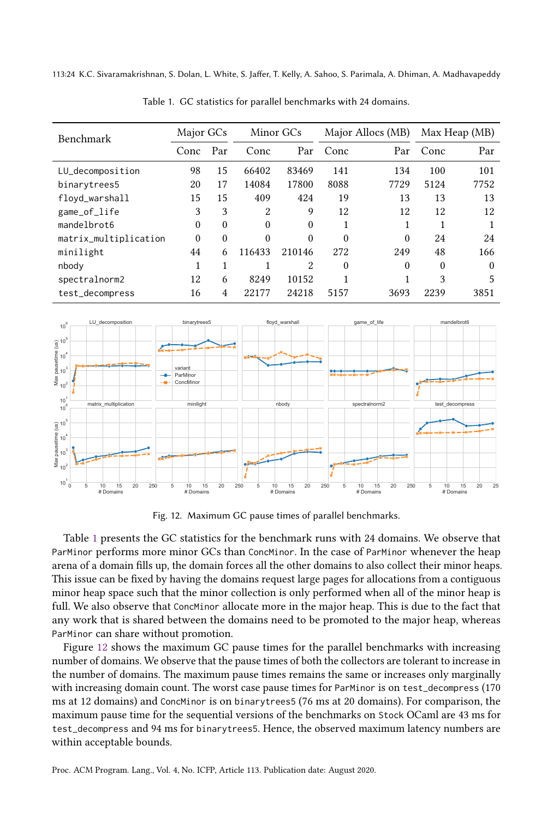113:24 K.C. Sivaramakrishnan, S. Dolan, L. White, S. Jaffer, T. Kelly, A. Sahoo, S. Parimala, A. Dhiman, A. Madhavapeddy

| <b>Benchmark</b>      | Major GCs |          | Minor GCs |        | Major Allocs (MB) |          | Max Heap (MB) |          |
|-----------------------|-----------|----------|-----------|--------|-------------------|----------|---------------|----------|
|                       | Conc      | Par      | Conc      | Par    | Conc              | Par      | Conc          | Par      |
| LU_decomposition      | 98        | 15       | 66402     | 83469  | 141               | 134      | 100           | 101      |
| binarytrees5          | 20        | 17       | 14084     | 17800  | 8088              | 7729     | 5124          | 7752     |
| floyd_warshall        | 15        | 15       | 409       | 424    | 19                | 13       | 13            | 13       |
| game_of_life          | 3         | 3        | 2         | 9      | 12                | 12       | 12            | 12       |
| mandelbrot6           | $\theta$  | $\theta$ | $\theta$  | 0      |                   |          |               |          |
| matrix_multiplication | $\theta$  | $\theta$ | $\Omega$  | 0      | $\theta$          | $\theta$ | 24            | 24       |
| minilight             | 44        | 6        | 116433    | 210146 | 272               | 249      | 48            | 166      |
| nbody                 | 1         | 1        |           | 2      | $\Omega$          | $\Omega$ | $\Omega$      | $\Omega$ |
| spectralnorm2         | 12        | 6        | 8249      | 10152  |                   |          | 3             | 5        |
| test_decompress       | 16        | 4        | 22177     | 24218  | 5157              | 3693     | 2239          | 3851     |

Table 1. GC statistics for parallel benchmarks with 24 domains.



Fig. 12. Maximum GC pause times of parallel benchmarks.

Table 1 presents the GC statistics for the benchmark runs with 24 domains. We observe that ParMinor performs more minor GCs than ConcMinor. In the case of ParMinor whenever the heap arena of a domain fills up, the domain forces all the other domains to also collect their minor heaps. This issue can be fixed by having the domains request large pages for allocations from a contiguous minor heap space such that the minor collection is only performed when all of the minor heap is full. We also observe that ConcMinor allocate more in the major heap. This is due to the fact that any work that is shared between the domains need to be promoted to the major heap, whereas ParMinor can share without promotion.

Figure 12 shows the maximum GC pause times for the parallel benchmarks with increasing number of domains. We observe that the pause times of both the collectors are tolerant to increase in the number of domains. The maximum pause times remains the same or increases only marginally with increasing domain count. The worst case pause times for ParMinor is on test\_decompress (170 ms at 12 domains) and ConcMinor is on binarytrees5 (76 ms at 20 domains). For comparison, the maximum pause time for the sequential versions of the benchmarks on Stock OCaml are 43 ms for test\_decompress and 94 ms for binarytrees5. Hence, the observed maximum latency numbers are within acceptable bounds.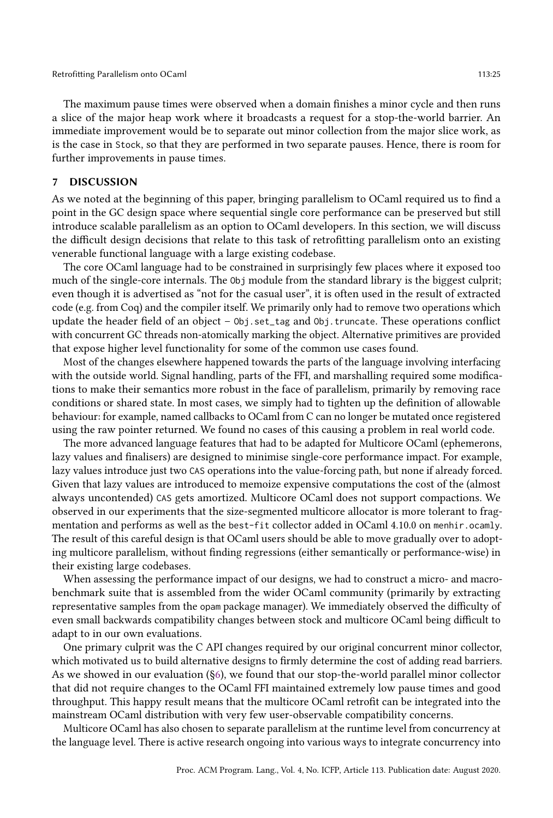The maximum pause times were observed when a domain finishes a minor cycle and then runs a slice of the major heap work where it broadcasts a request for a stop-the-world barrier. An immediate improvement would be to separate out minor collection from the major slice work, as is the case in Stock, so that they are performed in two separate pauses. Hence, there is room for further improvements in pause times.

### 7 DISCUSSION

As we noted at the beginning of this paper, bringing parallelism to OCaml required us to find a point in the GC design space where sequential single core performance can be preserved but still introduce scalable parallelism as an option to OCaml developers. In this section, we will discuss the difficult design decisions that relate to this task of retrofitting parallelism onto an existing venerable functional language with a large existing codebase.

The core OCaml language had to be constrained in surprisingly few places where it exposed too much of the single-core internals. The Obj module from the standard library is the biggest culprit; even though it is advertised as "not for the casual user", it is often used in the result of extracted code (e.g. from Coq) and the compiler itself. We primarily only had to remove two operations which update the header field of an object  $-\theta$ bj.set\_tag and  $\theta$ bj.truncate. These operations conflict with concurrent GC threads non-atomically marking the object. Alternative primitives are provided that expose higher level functionality for some of the common use cases found.

Most of the changes elsewhere happened towards the parts of the language involving interfacing with the outside world. Signal handling, parts of the FFI, and marshalling required some modifications to make their semantics more robust in the face of parallelism, primarily by removing race conditions or shared state. In most cases, we simply had to tighten up the definition of allowable behaviour: for example, named callbacks to OCaml from C can no longer be mutated once registered using the raw pointer returned. We found no cases of this causing a problem in real world code.

The more advanced language features that had to be adapted for Multicore OCaml (ephemerons, lazy values and finalisers) are designed to minimise single-core performance impact. For example, lazy values introduce just two CAS operations into the value-forcing path, but none if already forced. Given that lazy values are introduced to memoize expensive computations the cost of the (almost always uncontended) CAS gets amortized. Multicore OCaml does not support compactions. We observed in our experiments that the size-segmented multicore allocator is more tolerant to fragmentation and performs as well as the best-fit collector added in OCaml 4.10.0 on menhir.ocamly. The result of this careful design is that OCaml users should be able to move gradually over to adopting multicore parallelism, without finding regressions (either semantically or performance-wise) in their existing large codebases.

When assessing the performance impact of our designs, we had to construct a micro- and macrobenchmark suite that is assembled from the wider OCaml community (primarily by extracting representative samples from the opam package manager). We immediately observed the difficulty of even small backwards compatibility changes between stock and multicore OCaml being difficult to adapt to in our own evaluations.

One primary culprit was the C API changes required by our original concurrent minor collector, which motivated us to build alternative designs to firmly determine the cost of adding read barriers. As we showed in our evaluation (ğ6), we found that our stop-the-world parallel minor collector that did not require changes to the OCaml FFI maintained extremely low pause times and good throughput. This happy result means that the multicore OCaml retrofit can be integrated into the mainstream OCaml distribution with very few user-observable compatibility concerns.

Multicore OCaml has also chosen to separate parallelism at the runtime level from concurrency at the language level. There is active research ongoing into various ways to integrate concurrency into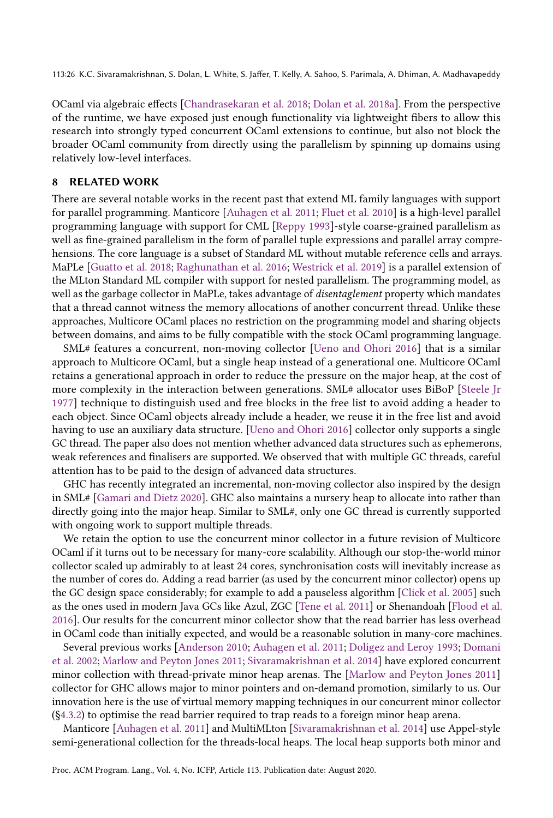113:26 K.C. Sivaramakrishnan, S. Dolan, L. White, S. Jaffer, T. Kelly, A. Sahoo, S. Parimala, A. Dhiman, A. Madhavapeddy

OCaml via algebraic effects [Chandrasekaran et al. 2018; Dolan et al. 2018a]. From the perspective of the runtime, we have exposed just enough functionality via lightweight fibers to allow this research into strongly typed concurrent OCaml extensions to continue, but also not block the broader OCaml community from directly using the parallelism by spinning up domains using relatively low-level interfaces.

### 8 RELATED WORK

There are several notable works in the recent past that extend ML family languages with support for parallel programming. Manticore [Auhagen et al. 2011; Fluet et al. 2010] is a high-level parallel programming language with support for CML [Reppy 1993]-style coarse-grained parallelism as well as fine-grained parallelism in the form of parallel tuple expressions and parallel array comprehensions. The core language is a subset of Standard ML without mutable reference cells and arrays. MaPLe [Guatto et al. 2018; Raghunathan et al. 2016; Westrick et al. 2019] is a parallel extension of the MLton Standard ML compiler with support for nested parallelism. The programming model, as well as the garbage collector in MaPLe, takes advantage of *disentaglement* property which mandates that a thread cannot witness the memory allocations of another concurrent thread. Unlike these approaches, Multicore OCaml places no restriction on the programming model and sharing objects between domains, and aims to be fully compatible with the stock OCaml programming language.

SML# features a concurrent, non-moving collector [Ueno and Ohori 2016] that is a similar approach to Multicore OCaml, but a single heap instead of a generational one. Multicore OCaml retains a generational approach in order to reduce the pressure on the major heap, at the cost of more complexity in the interaction between generations. SML# allocator uses BiBoP [Steele Jr 1977] technique to distinguish used and free blocks in the free list to avoid adding a header to each object. Since OCaml objects already include a header, we reuse it in the free list and avoid having to use an auxiliary data structure. [Ueno and Ohori 2016] collector only supports a single GC thread. The paper also does not mention whether advanced data structures such as ephemerons, weak references and finalisers are supported. We observed that with multiple GC threads, careful attention has to be paid to the design of advanced data structures.

GHC has recently integrated an incremental, non-moving collector also inspired by the design in SML# [Gamari and Dietz 2020]. GHC also maintains a nursery heap to allocate into rather than directly going into the major heap. Similar to SML#, only one GC thread is currently supported with ongoing work to support multiple threads.

We retain the option to use the concurrent minor collector in a future revision of Multicore OCaml if it turns out to be necessary for many-core scalability. Although our stop-the-world minor collector scaled up admirably to at least 24 cores, synchronisation costs will inevitably increase as the number of cores do. Adding a read barrier (as used by the concurrent minor collector) opens up the GC design space considerably; for example to add a pauseless algorithm [Click et al. 2005] such as the ones used in modern Java GCs like Azul, ZGC [Tene et al. 2011] or Shenandoah [Flood et al. 2016]. Our results for the concurrent minor collector show that the read barrier has less overhead in OCaml code than initially expected, and would be a reasonable solution in many-core machines.

Several previous works [Anderson 2010; Auhagen et al. 2011; Doligez and Leroy 1993; Domani et al. 2002; Marlow and Peyton Jones 2011; Sivaramakrishnan et al. 2014] have explored concurrent minor collection with thread-private minor heap arenas. The [Marlow and Peyton Jones 2011] collector for GHC allows major to minor pointers and on-demand promotion, similarly to us. Our innovation here is the use of virtual memory mapping techniques in our concurrent minor collector (ğ4.3.2) to optimise the read barrier required to trap reads to a foreign minor heap arena.

Manticore [Auhagen et al. 2011] and MultiMLton [Sivaramakrishnan et al. 2014] use Appel-style semi-generational collection for the threads-local heaps. The local heap supports both minor and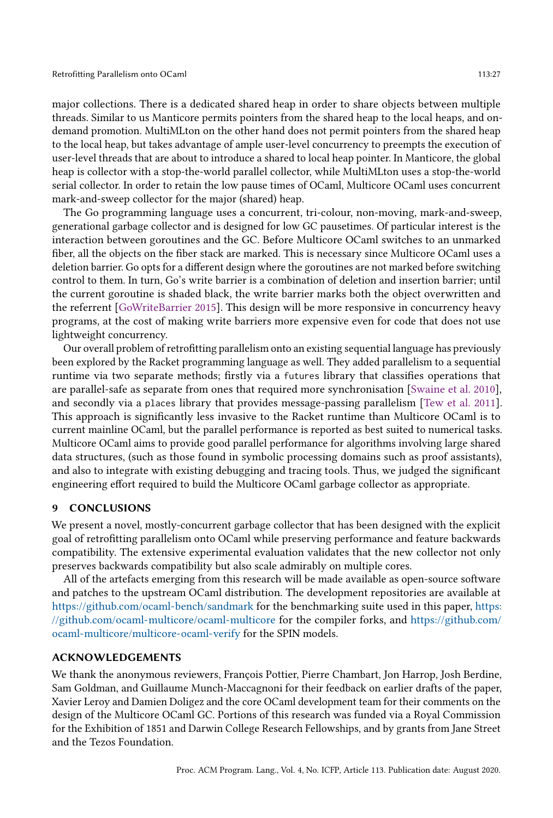major collections. There is a dedicated shared heap in order to share objects between multiple threads. Similar to us Manticore permits pointers from the shared heap to the local heaps, and ondemand promotion. MultiMLton on the other hand does not permit pointers from the shared heap to the local heap, but takes advantage of ample user-level concurrency to preempts the execution of user-level threads that are about to introduce a shared to local heap pointer. In Manticore, the global heap is collector with a stop-the-world parallel collector, while MultiMLton uses a stop-the-world serial collector. In order to retain the low pause times of OCaml, Multicore OCaml uses concurrent mark-and-sweep collector for the major (shared) heap.

The Go programming language uses a concurrent, tri-colour, non-moving, mark-and-sweep, generational garbage collector and is designed for low GC pausetimes. Of particular interest is the interaction between goroutines and the GC. Before Multicore OCaml switches to an unmarked fiber, all the objects on the fiber stack are marked. This is necessary since Multicore OCaml uses a deletion barrier. Go opts for a different design where the goroutines are not marked before switching control to them. In turn, Go's write barrier is a combination of deletion and insertion barrier; until the current goroutine is shaded black, the write barrier marks both the object overwritten and the referrent [GoWriteBarrier 2015]. This design will be more responsive in concurrency heavy programs, at the cost of making write barriers more expensive even for code that does not use lightweight concurrency.

Our overall problem of retrofitting parallelism onto an existing sequential language has previously been explored by the Racket programming language as well. They added parallelism to a sequential runtime via two separate methods; firstly via a futures library that classifies operations that are parallel-safe as separate from ones that required more synchronisation [Swaine et al. 2010], and secondly via a places library that provides message-passing parallelism [Tew et al. 2011]. This approach is significantly less invasive to the Racket runtime than Multicore OCaml is to current mainline OCaml, but the parallel performance is reported as best suited to numerical tasks. Multicore OCaml aims to provide good parallel performance for algorithms involving large shared data structures, (such as those found in symbolic processing domains such as proof assistants), and also to integrate with existing debugging and tracing tools. Thus, we judged the significant engineering effort required to build the Multicore OCaml garbage collector as appropriate.

#### 9 CONCLUSIONS

We present a novel, mostly-concurrent garbage collector that has been designed with the explicit goal of retrofitting parallelism onto OCaml while preserving performance and feature backwards compatibility. The extensive experimental evaluation validates that the new collector not only preserves backwards compatibility but also scale admirably on multiple cores.

All of the artefacts emerging from this research will be made available as open-source software and patches to the upstream OCaml distribution. The development repositories are available at https://github.com/ocaml-bench/sandmark for the benchmarking suite used in this paper, https: //github.com/ocaml-multicore/ocaml-multicore for the compiler forks, and https://github.com/ ocaml-multicore/multicore-ocaml-verify for the SPIN models.

### ACKNOWLEDGEMENTS

We thank the anonymous reviewers, François Pottier, Pierre Chambart, Jon Harrop, Josh Berdine, Sam Goldman, and Guillaume Munch-Maccagnoni for their feedback on earlier drafts of the paper, Xavier Leroy and Damien Doligez and the core OCaml development team for their comments on the design of the Multicore OCaml GC. Portions of this research was funded via a Royal Commission for the Exhibition of 1851 and Darwin College Research Fellowships, and by grants from Jane Street and the Tezos Foundation.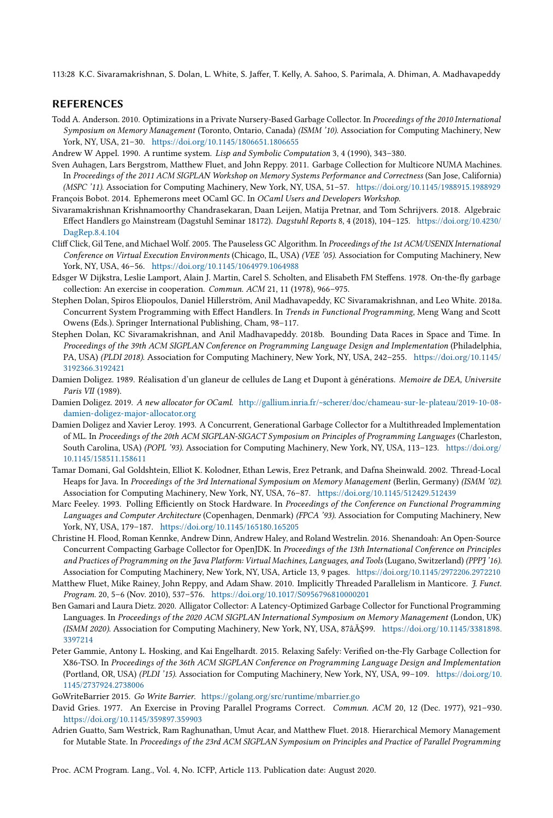113:28 K.C. Sivaramakrishnan, S. Dolan, L. White, S. Jaffer, T. Kelly, A. Sahoo, S. Parimala, A. Dhiman, A. Madhavapeddy

### REFERENCES

- Todd A. Anderson. 2010. Optimizations in a Private Nursery-Based Garbage Collector. In Proceedings of the 2010 International Symposium on Memory Management (Toronto, Ontario, Canada) (ISMM '10). Association for Computing Machinery, New York, NY, USA, 21-30. https://doi.org/10.1145/1806651.1806655
- Andrew W Appel. 1990. A runtime system. Lisp and Symbolic Computation 3, 4 (1990), 343-380.
- Sven Auhagen, Lars Bergstrom, Matthew Fluet, and John Reppy. 2011. Garbage Collection for Multicore NUMA Machines. In Proceedings of the 2011 ACM SIGPLAN Workshop on Memory Systems Performance and Correctness (San Jose, California) (MSPC '11). Association for Computing Machinery, New York, NY, USA, 51-57. https://doi.org/10.1145/1988915.1988929 François Bobot. 2014. Ephemerons meet OCaml GC. In OCaml Users and Developers Workshop.
- Sivaramakrishnan Krishnamoorthy Chandrasekaran, Daan Leijen, Matija Pretnar, and Tom Schrijvers. 2018. Algebraic Effect Handlers go Mainstream (Dagstuhl Seminar 18172). Dagstuhl Reports 8, 4 (2018), 104-125. https://doi.org/10.4230/ DagRep.8.4.104
- Cliff Click, Gil Tene, and Michael Wolf. 2005. The Pauseless GC Algorithm. In Proceedings of the 1st ACM/USENIX International Conference on Virtual Execution Environments (Chicago, IL, USA) (VEE '05). Association for Computing Machinery, New York, NY, USA, 46-56. https://doi.org/10.1145/1064979.1064988
- Edsger W Dijkstra, Leslie Lamport, Alain J. Martin, Carel S. Scholten, and Elisabeth FM Steffens. 1978. On-the-fly garbage collection: An exercise in cooperation. Commun. ACM 21, 11 (1978), 966-975.
- Stephen Dolan, Spiros Eliopoulos, Daniel Hillerström, Anil Madhavapeddy, KC Sivaramakrishnan, and Leo White. 2018a. Concurrent System Programming with Effect Handlers. In Trends in Functional Programming, Meng Wang and Scott Owens (Eds.). Springer International Publishing, Cham, 98-117.
- Stephen Dolan, KC Sivaramakrishnan, and Anil Madhavapeddy. 2018b. Bounding Data Races in Space and Time. In Proceedings of the 39th ACM SIGPLAN Conference on Programming Language Design and Implementation (Philadelphia, PA, USA) (PLDI 2018). Association for Computing Machinery, New York, NY, USA, 242-255. https://doi.org/10.1145/ 3192366.3192421
- Damien Doligez. 1989. Réalisation d'un glaneur de cellules de Lang et Dupont à générations. Memoire de DEA, Universite Paris VII (1989).
- Damien Doligez. 2019. A new allocator for OCaml. http://gallium.inria.fr/~scherer/doc/chameau-sur-le-plateau/2019-10-08 damien-doligez-major-allocator.org
- Damien Doligez and Xavier Leroy. 1993. A Concurrent, Generational Garbage Collector for a Multithreaded Implementation of ML. In Proceedings of the 20th ACM SIGPLAN-SIGACT Symposium on Principles of Programming Languages (Charleston, South Carolina, USA) (POPL '93). Association for Computing Machinery, New York, NY, USA, 113-123. https://doi.org/ 10.1145/158511.158611
- Tamar Domani, Gal Goldshtein, Elliot K. Kolodner, Ethan Lewis, Erez Petrank, and Dafna Sheinwald. 2002. Thread-Local Heaps for Java. In Proceedings of the 3rd International Symposium on Memory Management (Berlin, Germany) (ISMM '02). Association for Computing Machinery, New York, NY, USA, 76-87. https://doi.org/10.1145/512429.512439
- Marc Feeley. 1993. Polling Efficiently on Stock Hardware. In Proceedings of the Conference on Functional Programming Languages and Computer Architecture (Copenhagen, Denmark) (FPCA '93). Association for Computing Machinery, New York, NY, USA, 179-187. https://doi.org/10.1145/165180.165205
- Christine H. Flood, Roman Kennke, Andrew Dinn, Andrew Haley, and Roland Westrelin. 2016. Shenandoah: An Open-Source Concurrent Compacting Garbage Collector for OpenJDK. In Proceedings of the 13th International Conference on Principles and Practices of Programming on the Java Platform: Virtual Machines, Languages, and Tools (Lugano, Switzerland) (PPPJ '16). Association for Computing Machinery, New York, NY, USA, Article 13, 9 pages. https://doi.org/10.1145/2972206.2972210
- Matthew Fluet, Mike Rainey, John Reppy, and Adam Shaw. 2010. Implicitly Threaded Parallelism in Manticore. J. Funct. Program. 20, 5-6 (Nov. 2010), 537-576. https://doi.org/10.1017/S0956796810000201
- Ben Gamari and Laura Dietz. 2020. Alligator Collector: A Latency-Optimized Garbage Collector for Functional Programming Languages. In Proceedings of the 2020 ACM SIGPLAN International Symposium on Memory Management (London, UK) (ISMM 2020). Association for Computing Machinery, New York, NY, USA, 87âĂŞ99. https://doi.org/10.1145/3381898. 3397214
- Peter Gammie, Antony L. Hosking, and Kai Engelhardt. 2015. Relaxing Safely: Verified on-the-Fly Garbage Collection for X86-TSO. In Proceedings of the 36th ACM SIGPLAN Conference on Programming Language Design and Implementation (Portland, OR, USA) (PLDI '15). Association for Computing Machinery, New York, NY, USA, 99-109. https://doi.org/10. 1145/2737924.2738006
- GoWriteBarrier 2015. Go Write Barrier. https://golang.org/src/runtime/mbarrier.go
- David Gries. 1977. An Exercise in Proving Parallel Programs Correct. Commun. ACM 20, 12 (Dec. 1977), 921-930. https://doi.org/10.1145/359897.359903
- Adrien Guatto, Sam Westrick, Ram Raghunathan, Umut Acar, and Matthew Fluet. 2018. Hierarchical Memory Management for Mutable State. In Proceedings of the 23rd ACM SIGPLAN Symposium on Principles and Practice of Parallel Programming

Proc. ACM Program. Lang., Vol. 4, No. ICFP, Article 113. Publication date: August 2020.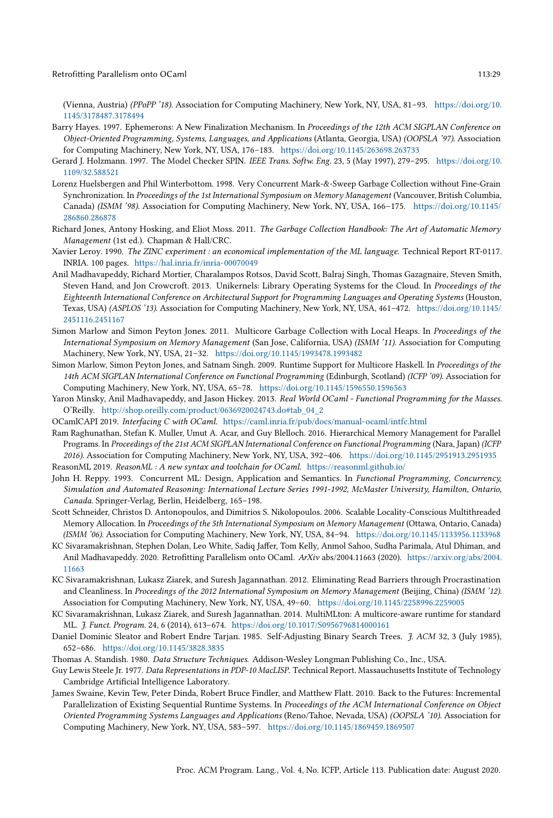(Vienna, Austria) (PPoPP '18). Association for Computing Machinery, New York, NY, USA, 81-93. https://doi.org/10. 1145/3178487.3178494

- Barry Hayes. 1997. Ephemerons: A New Finalization Mechanism. In Proceedings of the 12th ACM SIGPLAN Conference on Object-Oriented Programming, Systems, Languages, and Applications (Atlanta, Georgia, USA) (OOPSLA '97). Association for Computing Machinery, New York, NY, USA, 176-183. https://doi.org/10.1145/263698.263733
- Gerard J. Holzmann. 1997. The Model Checker SPIN. IEEE Trans. Softw. Eng. 23, 5 (May 1997), 279-295. https://doi.org/10. 1109/32.588521
- Lorenz Huelsbergen and Phil Winterbottom. 1998. Very Concurrent Mark-&-Sweep Garbage Collection without Fine-Grain Synchronization. In Proceedings of the 1st International Symposium on Memory Management (Vancouver, British Columbia, Canada) (ISMM '98). Association for Computing Machinery, New York, NY, USA, 166-175. https://doi.org/10.1145/ 286860.286878
- Richard Jones, Antony Hosking, and Eliot Moss. 2011. The Garbage Collection Handbook: The Art of Automatic Memory Management (1st ed.). Chapman & Hall/CRC.
- Xavier Leroy. 1990. The ZINC experiment : an economical implementation of the ML language. Technical Report RT-0117. INRIA. 100 pages. https://hal.inria.fr/inria-00070049
- Anil Madhavapeddy, Richard Mortier, Charalampos Rotsos, David Scott, Balraj Singh, Thomas Gazagnaire, Steven Smith, Steven Hand, and Jon Crowcroft. 2013. Unikernels: Library Operating Systems for the Cloud. In Proceedings of the Eighteenth International Conference on Architectural Support for Programming Languages and Operating Systems (Houston, Texas, USA) (ASPLOS '13). Association for Computing Machinery, New York, NY, USA, 461-472. https://doi.org/10.1145/ 2451116.2451167
- Simon Marlow and Simon Peyton Jones. 2011. Multicore Garbage Collection with Local Heaps. In Proceedings of the International Symposium on Memory Management (San Jose, California, USA) (ISMM '11). Association for Computing Machinery, New York, NY, USA, 21-32. https://doi.org/10.1145/1993478.1993482
- Simon Marlow, Simon Peyton Jones, and Satnam Singh. 2009. Runtime Support for Multicore Haskell. In Proceedings of the 14th ACM SIGPLAN International Conference on Functional Programming (Edinburgh, Scotland) (ICFP '09). Association for Computing Machinery, New York, NY, USA, 65-78. https://doi.org/10.1145/1596550.1596563
- Yaron Minsky, Anil Madhavapeddy, and Jason Hickey. 2013. Real World OCaml Functional Programming for the Masses. O'Reilly. http://shop.oreilly.com/product/0636920024743.do#tab\_04\_2
- OCamlCAPI 2019. Interfacing C with OCaml. https://caml.inria.fr/pub/docs/manual-ocaml/intfc.html
- Ram Raghunathan, Stefan K. Muller, Umut A. Acar, and Guy Blelloch. 2016. Hierarchical Memory Management for Parallel Programs. In Proceedings of the 21st ACM SIGPLAN International Conference on Functional Programming (Nara, Japan) (ICFP 2016). Association for Computing Machinery, New York, NY, USA, 392-406. https://doi.org/10.1145/2951913.2951935 ReasonML 2019. ReasonML : A new syntax and toolchain for OCaml. https://reasonml.github.io/
- John H. Reppy. 1993. Concurrent ML: Design, Application and Semantics. In Functional Programming, Concurrency, Simulation and Automated Reasoning: International Lecture Series 1991-1992, McMaster University, Hamilton, Ontario, Canada. Springer-Verlag, Berlin, Heidelberg, 165-198.
- Scott Schneider, Christos D. Antonopoulos, and Dimitrios S. Nikolopoulos. 2006. Scalable Locality-Conscious Multithreaded Memory Allocation. In Proceedings of the 5th International Symposium on Memory Management (Ottawa, Ontario, Canada) (ISMM '06). Association for Computing Machinery, New York, NY, USA, 84-94. https://doi.org/10.1145/1133956.1133968
- KC Sivaramakrishnan, Stephen Dolan, Leo White, Sadiq Jaffer, Tom Kelly, Anmol Sahoo, Sudha Parimala, Atul Dhiman, and Anil Madhavapeddy. 2020. Retrofitting Parallelism onto OCaml. ArXiv abs/2004.11663 (2020). https://arxiv.org/abs/2004. 11663
- KC Sivaramakrishnan, Lukasz Ziarek, and Suresh Jagannathan. 2012. Eliminating Read Barriers through Procrastination and Cleanliness. In Proceedings of the 2012 International Symposium on Memory Management (Beijing, China) (ISMM '12). Association for Computing Machinery, New York, NY, USA, 49-60. https://doi.org/10.1145/2258996.2259005
- KC Sivaramakrishnan, Lukasz Ziarek, and Suresh Jagannathan. 2014. MultiMLton: A multicore-aware runtime for standard ML. J. Funct. Program. 24, 6 (2014), 613-674. https://doi.org/10.1017/S0956796814000161
- Daniel Dominic Sleator and Robert Endre Tarjan. 1985. Self-Adjusting Binary Search Trees. J. ACM 32, 3 (July 1985), 652-686. https://doi.org/10.1145/3828.3835
- Thomas A. Standish. 1980. Data Structure Techniques. Addison-Wesley Longman Publishing Co., Inc., USA.
- Guy Lewis Steele Jr. 1977. Data Representations in PDP-10 MacLISP. Technical Report. Massauchusetts Institute of Technology Cambridge Artificial Intelligence Laboratory.
- James Swaine, Kevin Tew, Peter Dinda, Robert Bruce Findler, and Matthew Flatt. 2010. Back to the Futures: Incremental Parallelization of Existing Sequential Runtime Systems. In Proceedings of the ACM International Conference on Object Oriented Programming Systems Languages and Applications (Reno/Tahoe, Nevada, USA) (OOPSLA '10). Association for Computing Machinery, New York, NY, USA, 583-597. https://doi.org/10.1145/1869459.1869507